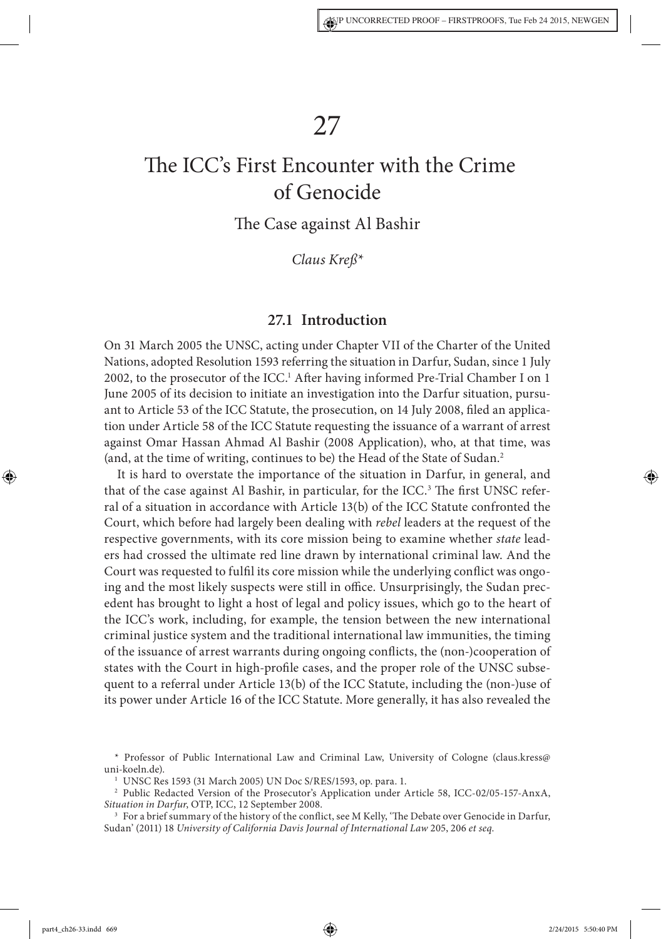# 27

# The ICC's First Encounter with the Crime of Genocide

## The Case against Al Bashir

*Claus Kreß\**

## **27.1 Introduction**

On 31 March 2005 the UNSC, acting under Chapter VII of the Charter of the United Nations, adopted Resolution 1593 referring the situation in Darfur, Sudan, since 1 July 2002, to the prosecutor of the ICC.<sup>1</sup> After having informed Pre-Trial Chamber I on 1 June 2005 of its decision to initiate an investigation into the Darfur situation, pursuant to Article 53 of the ICC Statute, the prosecution, on 14 July 2008, filed an application under Article 58 of the ICC Statute requesting the issuance of a warrant of arrest against Omar Hassan Ahmad Al Bashir (2008 Application), who, at that time, was (and, at the time of writing, continues to be) the Head of the State of Sudan.2

It is hard to overstate the importance of the situation in Darfur, in general, and that of the case against Al Bashir, in particular, for the ICC.<sup>3</sup> The first UNSC referral of a situation in accordance with Article 13(b) of the ICC Statute confronted the Court, which before had largely been dealing with *rebel* leaders at the request of the respective governments, with its core mission being to examine whether *state* leaders had crossed the ultimate red line drawn by international criminal law. And the Court was requested to fulfil its core mission while the underlying conflict was ongoing and the most likely suspects were still in office. Unsurprisingly, the Sudan precedent has brought to light a host of legal and policy issues, which go to the heart of the ICC's work, including, for example, the tension between the new international criminal justice system and the traditional international law immunities, the timing of the issuance of arrest warrants during ongoing conflicts, the (non-)cooperation of states with the Court in high-profile cases, and the proper role of the UNSC subsequent to a referral under Article 13(b) of the ICC Statute, including the (non-)use of its power under Article 16 of the ICC Statute. More generally, it has also revealed the

<sup>3</sup> For a brief summary of the history of the conflict, see M Kelly, 'The Debate over Genocide in Darfur, Sudan' (2011) 18 *University of California Davis Journal of International Law* 205, 206 *et seq*.

⊕

<sup>\*</sup> Professor of Public International Law and Criminal Law, University of Cologne (claus.kress@ uni-koeln.de).

<sup>1</sup> UNSC Res 1593 (31 March 2005) UN Doc S/RES/1593, op. para. 1.

<sup>2</sup> Public Redacted Version of the Prosecutor's Application under Article 58, ICC-02/05-157-AnxA, *Situation in Darfur*, OTP, ICC, 12 September 2008.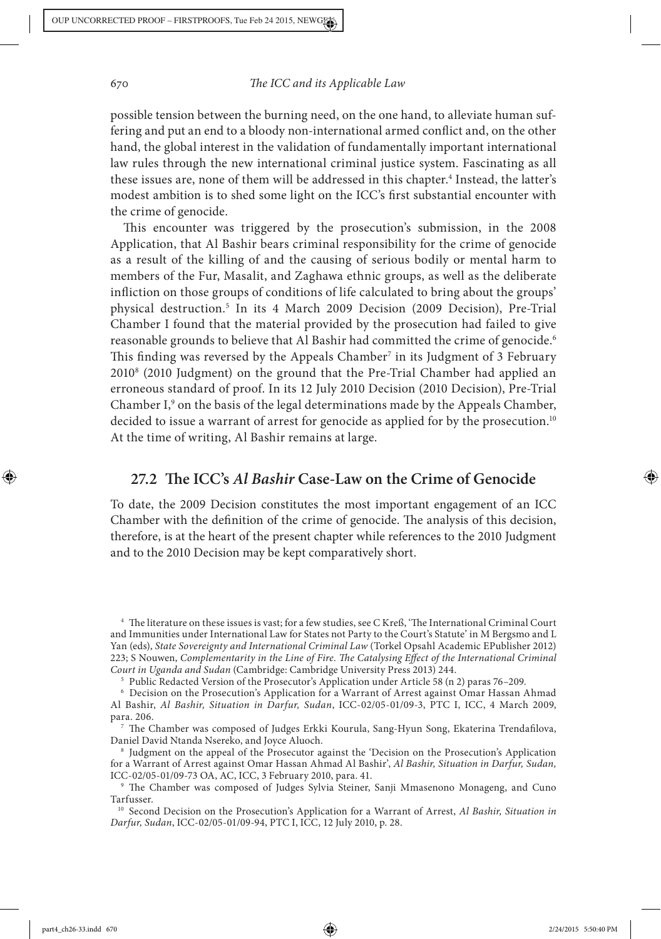possible tension between the burning need, on the one hand, to alleviate human suffering and put an end to a bloody non-international armed conflict and, on the other hand, the global interest in the validation of fundamentally important international law rules through the new international criminal justice system. Fascinating as all these issues are, none of them will be addressed in this chapter.<sup>4</sup> Instead, the latter's modest ambition is to shed some light on the ICC's first substantial encounter with the crime of genocide.

This encounter was triggered by the prosecution's submission, in the 2008 Application, that Al Bashir bears criminal responsibility for the crime of genocide as a result of the killing of and the causing of serious bodily or mental harm to members of the Fur, Masalit, and Zaghawa ethnic groups, as well as the deliberate infliction on those groups of conditions of life calculated to bring about the groups' physical destruction.5 In its 4 March 2009 Decision (2009 Decision), Pre-Trial Chamber I found that the material provided by the prosecution had failed to give reasonable grounds to believe that Al Bashir had committed the crime of genocide.<sup>6</sup> This finding was reversed by the Appeals Chamber $^7$  in its Judgment of 3 February 20108 (2010 Judgment) on the ground that the Pre-Trial Chamber had applied an erroneous standard of proof. In its 12 July 2010 Decision (2010 Decision), Pre-Trial Chamber I,<sup>9</sup> on the basis of the legal determinations made by the Appeals Chamber, decided to issue a warrant of arrest for genocide as applied for by the prosecution.<sup>10</sup> At the time of writing, Al Bashir remains at large.

## **27.2 The ICC's** *Al Bashir* **Case-Law on the Crime of Genocide**

To date, the 2009 Decision constitutes the most important engagement of an ICC Chamber with the definition of the crime of genocide. The analysis of this decision, therefore, is at the heart of the present chapter while references to the 2010 Judgment and to the 2010 Decision may be kept comparatively short.

⊕

<sup>4</sup> The literature on these issues is vast; for a few studies, see C Kreß, 'The International Criminal Court and Immunities under International Law for States not Party to the Court's Statute' in M Bergsmo and L Yan (eds), *State Sovereignty and International Criminal Law* (Torkel Opsahl Academic EPublisher 2012) 223; S Nouwen, *Complementarity in the Line of Fire. The Catalysing Effect of the International Criminal Court in Uganda and Sudan* (Cambridge: Cambridge University Press 2013) 244.

<sup>5</sup> Public Redacted Version of the Prosecutor's Application under Article 58 (n 2) paras 76–209.

<sup>6</sup> Decision on the Prosecution's Application for a Warrant of Arrest against Omar Hassan Ahmad Al Bashir, *Al Bashir, Situation in Darfur, Sudan*, ICC-02/05-01/09-3, PTC I, ICC, 4 March 2009, para. 206.

<sup>7</sup> The Chamber was composed of Judges Erkki Kourula, Sang-Hyun Song, Ekaterina Trendafilova, Daniel David Ntanda Nsereko, and Joyce Aluoch.

<sup>8</sup> Judgment on the appeal of the Prosecutor against the 'Decision on the Prosecution's Application for a Warrant of Arrest against Omar Hassan Ahmad Al Bashir', *Al Bashir, Situation in Darfur, Sudan,* ICC-02/05-01/09-73 OA, AC, ICC, 3 February 2010, para. 41.

<sup>9</sup> The Chamber was composed of Judges Sylvia Steiner, Sanji Mmasenono Monageng, and Cuno Tarfusser.

<sup>&</sup>lt;sup>10</sup> Second Decision on the Prosecution's Application for a Warrant of Arrest, Al Bashir, Situation in *Darfur, Sudan*, ICC-02/05-01/09-94, PTC I, ICC, 12 July 2010, p. 28.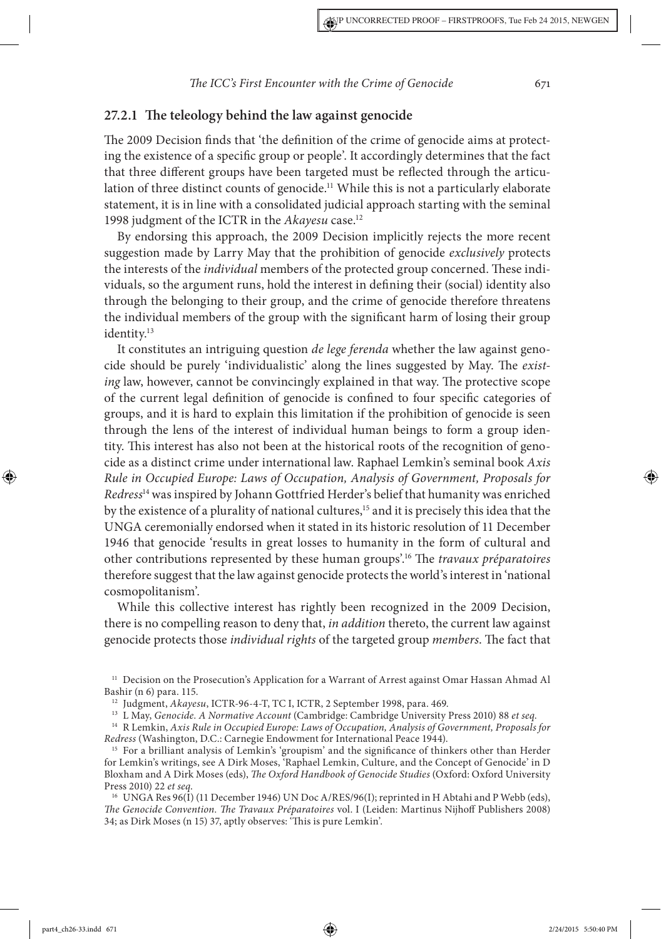## **27.2.1 The teleology behind the law against genocide**

The 2009 Decision finds that 'the definition of the crime of genocide aims at protecting the existence of a specific group or people'. It accordingly determines that the fact that three different groups have been targeted must be reflected through the articulation of three distinct counts of genocide.<sup>11</sup> While this is not a particularly elaborate statement, it is in line with a consolidated judicial approach starting with the seminal 1998 judgment of the ICTR in the *Akayesu* case.12

By endorsing this approach, the 2009 Decision implicitly rejects the more recent suggestion made by Larry May that the prohibition of genocide *exclusively* protects the interests of the *individual* members of the protected group concerned. These individuals, so the argument runs, hold the interest in defining their (social) identity also through the belonging to their group, and the crime of genocide therefore threatens the individual members of the group with the significant harm of losing their group identity.<sup>13</sup>

It constitutes an intriguing question *de lege ferenda* whether the law against genocide should be purely 'individualistic' along the lines suggested by May. The *existing* law, however, cannot be convincingly explained in that way. The protective scope of the current legal definition of genocide is confined to four specific categories of groups, and it is hard to explain this limitation if the prohibition of genocide is seen through the lens of the interest of individual human beings to form a group identity. This interest has also not been at the historical roots of the recognition of genocide as a distinct crime under international law. Raphael Lemkin's seminal book *Axis Rule in Occupied Europe: Laws of Occupation, Analysis of Government, Proposals for Redress*14 was inspired by Johann Gottfried Herder's belief that humanity was enriched by the existence of a plurality of national cultures,<sup>15</sup> and it is precisely this idea that the UNGA ceremonially endorsed when it stated in its historic resolution of 11 December 1946 that genocide 'results in great losses to humanity in the form of cultural and other contributions represented by these human groups'.16 The *travaux préparatoires* therefore suggest that the law against genocide protects the world's interest in 'national cosmopolitanism'.

While this collective interest has rightly been recognized in the 2009 Decision, there is no compelling reason to deny that, *in addition* thereto, the current law against genocide protects those *individual rights* of the targeted group *members*. The fact that

<sup>11</sup> Decision on the Prosecution's Application for a Warrant of Arrest against Omar Hassan Ahmad Al Bashir (n 6) para. 115.

<sup>13</sup> L May, *Genocide. A Normative Account* (Cambridge: Cambridge University Press 2010) 88 *et seq*.

<sup>14</sup> R Lemkin, *Axis Rule in Occupied Europe: Laws of Occupation, Analysis of Government, Proposals for Redress* (Washington, D.C.: Carnegie Endowment for International Peace 1944).

<sup>16</sup> UNGA Res 96(I) (11 December 1946) UN Doc A/RES/96(I); reprinted in H Abtahi and P Webb (eds), *The Genocide Convention. The Travaux Préparatoires* vol. I (Leiden: Martinus Nijhoff Publishers 2008) 34; as Dirk Moses (n 15) 37, aptly observes: 'This is pure Lemkin'.

⊕

<sup>12</sup> Judgment, *Akayesu*, ICTR-96-4-T, TC I, ICTR, 2 September 1998, para. 469.

<sup>15</sup> For a brilliant analysis of Lemkin's 'groupism' and the significance of thinkers other than Herder for Lemkin's writings, see A Dirk Moses, 'Raphael Lemkin, Culture, and the Concept of Genocide' in D Bloxham and A Dirk Moses (eds), *The Oxford Handbook of Genocide Studies* (Oxford: Oxford University Press 2010) 22 *et seq*.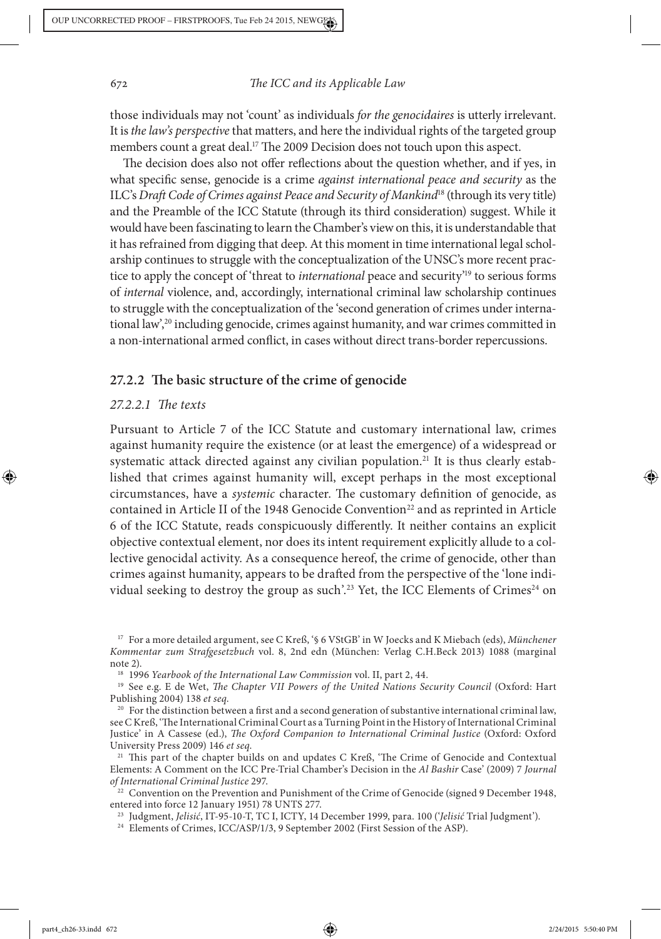those individuals may not 'count' as individuals *for the genocidaires* is utterly irrelevant. It is *the law's perspective* that matters, and here the individual rights of the targeted group members count a great deal.17 The 2009 Decision does not touch upon this aspect.

The decision does also not offer reflections about the question whether, and if yes, in what specific sense, genocide is a crime *against international peace and security* as the ILC's *Draft Code of Crimes against Peace and Security of Mankind*18 (through its very title) and the Preamble of the ICC Statute (through its third consideration) suggest. While it would have been fascinating to learn the Chamber's view on this, it is understandable that it has refrained from digging that deep. At this moment in time international legal scholarship continues to struggle with the conceptualization of the UNSC's more recent practice to apply the concept of 'threat to *international* peace and security'19 to serious forms of *internal* violence, and, accordingly, international criminal law scholarship continues to struggle with the conceptualization of the 'second generation of crimes under international law',<sup>20</sup> including genocide, crimes against humanity, and war crimes committed in a non-international armed conflict, in cases without direct trans-border repercussions.

### **27.2.2 The basic structure of the crime of genocide**

#### *27.2.2.1 The texts*

Pursuant to Article 7 of the ICC Statute and customary international law, crimes against humanity require the existence (or at least the emergence) of a widespread or systematic attack directed against any civilian population.<sup>21</sup> It is thus clearly established that crimes against humanity will, except perhaps in the most exceptional circumstances, have a *systemic* character. The customary definition of genocide, as contained in Article II of the 1948 Genocide Convention<sup>22</sup> and as reprinted in Article 6 of the ICC Statute, reads conspicuously differently. It neither contains an explicit objective contextual element, nor does its intent requirement explicitly allude to a collective genocidal activity. As a consequence hereof, the crime of genocide, other than crimes against humanity, appears to be drafted from the perspective of the 'lone individual seeking to destroy the group as such'.<sup>23</sup> Yet, the ICC Elements of Crimes<sup>24</sup> on

⊕

<sup>17</sup> For a more detailed argument, see C Kreß, '§ 6 VStGB' in W Joecks and K Miebach (eds), *Münchener Kommentar zum Strafgesetzbuch* vol. 8, 2nd edn (München: Verlag C.H.Beck 2013) 1088 (marginal note 2).

<sup>18</sup> 1996 *Yearbook of the International Law Commission* vol. II, part 2, 44.

<sup>&</sup>lt;sup>19</sup> See e.g. E de Wet, *The Chapter VII Powers of the United Nations Security Council* (Oxford: Hart Publishing 2004) 138 *et seq*.

<sup>&</sup>lt;sup>20</sup> For the distinction between a first and a second generation of substantive international criminal law, see C Kreß, 'The International Criminal Court as a Turning Point in the History of International Criminal Justice' in A Cassese (ed.), *The Oxford Companion to International Criminal Justice* (Oxford: Oxford University Press 2009) 146 *et seq*.

<sup>&</sup>lt;sup>21</sup> This part of the chapter builds on and updates C Kreß, 'The Crime of Genocide and Contextual Elements: A Comment on the ICC Pre-Trial Chamber's Decision in the *Al Bashir* Case' (2009) 7 *Journal of International Criminal Justice* 297.

<sup>&</sup>lt;sup>22</sup> Convention on the Prevention and Punishment of the Crime of Genocide (signed 9 December 1948, entered into force 12 January 1951) 78 UNTS 277.

<sup>23</sup> Judgment, *Jelisić*, IT-95-10-T, TC I, ICTY, 14 December 1999, para. 100 ('*Jelisić* Trial Judgment').

<sup>24</sup> Elements of Crimes, ICC/ASP/1/3, 9 September 2002 (First Session of the ASP).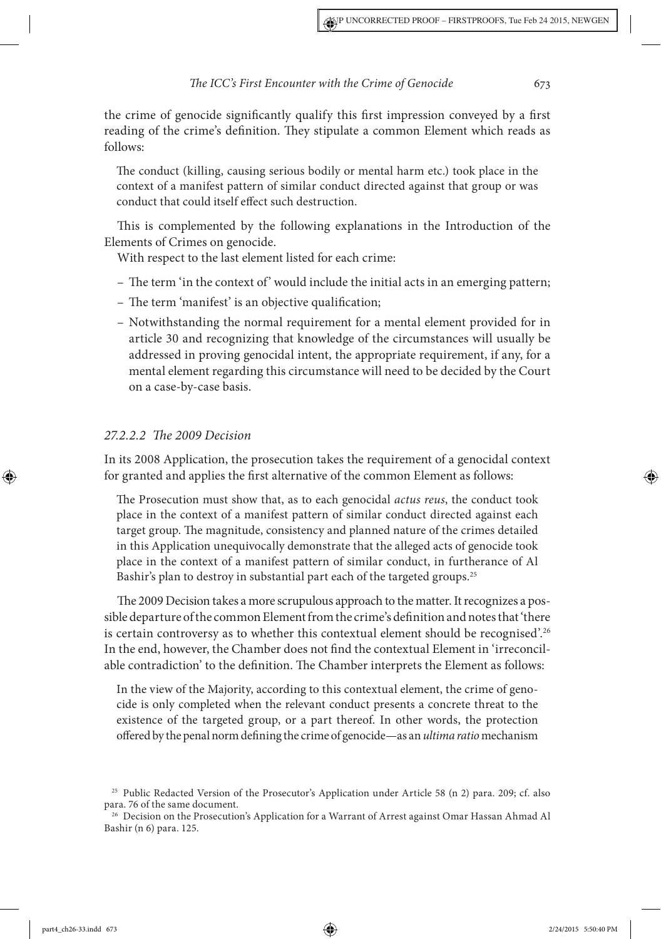the crime of genocide significantly qualify this first impression conveyed by a first reading of the crime's definition. They stipulate a common Element which reads as follows:

The conduct (killing, causing serious bodily or mental harm etc.) took place in the context of a manifest pattern of similar conduct directed against that group or was conduct that could itself effect such destruction.

This is complemented by the following explanations in the Introduction of the Elements of Crimes on genocide.

With respect to the last element listed for each crime:

- The term 'in the context of' would include the initial acts in an emerging pattern;
- The term 'manifest' is an objective qualification;
- Notwithstanding the normal requirement for a mental element provided for in article 30 and recognizing that knowledge of the circumstances will usually be addressed in proving genocidal intent, the appropriate requirement, if any, for a mental element regarding this circumstance will need to be decided by the Court on a case-by-case basis.

## *27.2.2.2 The 2009 Decision*

In its 2008 Application, the prosecution takes the requirement of a genocidal context for granted and applies the first alternative of the common Element as follows:

The Prosecution must show that, as to each genocidal *actus reus*, the conduct took place in the context of a manifest pattern of similar conduct directed against each target group. The magnitude, consistency and planned nature of the crimes detailed in this Application unequivocally demonstrate that the alleged acts of genocide took place in the context of a manifest pattern of similar conduct, in furtherance of Al Bashir's plan to destroy in substantial part each of the targeted groups.<sup>25</sup>

The 2009 Decision takes a more scrupulous approach to the matter. It recognizes a possible departure of the common Element from the crime's definition and notes that 'there is certain controversy as to whether this contextual element should be recognised'.<sup>26</sup> In the end, however, the Chamber does not find the contextual Element in 'irreconcilable contradiction' to the definition. The Chamber interprets the Element as follows:

In the view of the Majority, according to this contextual element, the crime of genocide is only completed when the relevant conduct presents a concrete threat to the existence of the targeted group, or a part thereof. In other words, the protection offered by the penal norm defining the crime of genocide—as an *ultima ratio* mechanism

⊕

<sup>&</sup>lt;sup>25</sup> Public Redacted Version of the Prosecutor's Application under Article 58 (n 2) para. 209; cf. also para. 76 of the same document.

<sup>&</sup>lt;sup>26</sup> Decision on the Prosecution's Application for a Warrant of Arrest against Omar Hassan Ahmad Al Bashir (n 6) para. 125.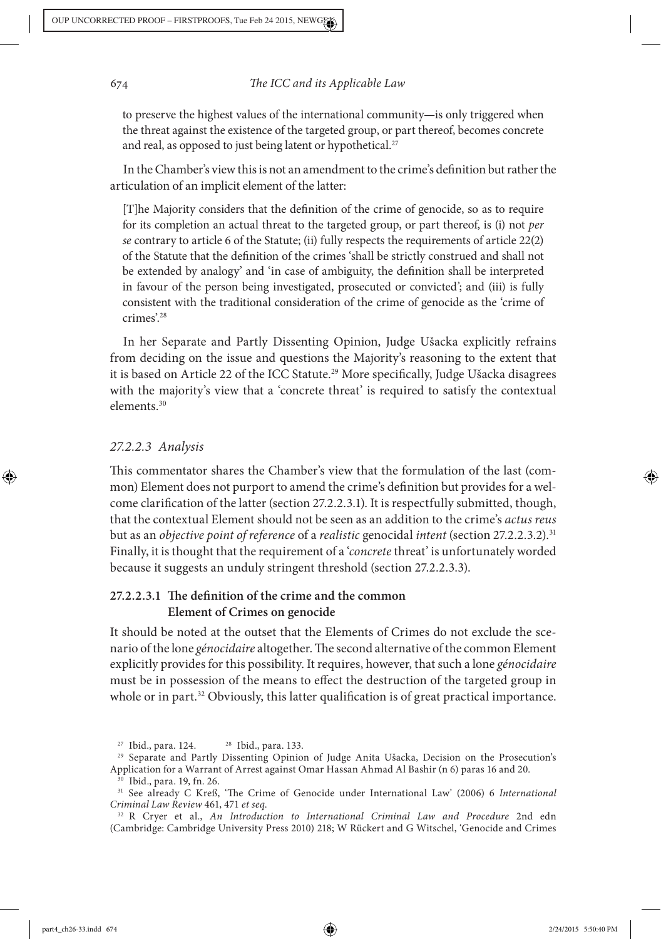to preserve the highest values of the international community—is only triggered when the threat against the existence of the targeted group, or part thereof, becomes concrete and real, as opposed to just being latent or hypothetical.<sup>27</sup>

In the Chamber's view this is not an amendment to the crime's definition but rather the articulation of an implicit element of the latter:

[T]he Majority considers that the definition of the crime of genocide, so as to require for its completion an actual threat to the targeted group, or part thereof, is (i) not *per se* contrary to article 6 of the Statute; (ii) fully respects the requirements of article 22(2) of the Statute that the definition of the crimes 'shall be strictly construed and shall not be extended by analogy' and 'in case of ambiguity, the definition shall be interpreted in favour of the person being investigated, prosecuted or convicted'; and (iii) is fully consistent with the traditional consideration of the crime of genocide as the 'crime of crimes'.28

In her Separate and Partly Dissenting Opinion, Judge Ušacka explicitly refrains from deciding on the issue and questions the Majority's reasoning to the extent that it is based on Article 22 of the ICC Statute.<sup>29</sup> More specifically, Judge Ušacka disagrees with the majority's view that a 'concrete threat' is required to satisfy the contextual elements.30

#### *27.2.2.3 Analysis*

⊕

This commentator shares the Chamber's view that the formulation of the last (common) Element does not purport to amend the crime's definition but provides for a welcome clarification of the latter (section 27.2.2.3.1). It is respectfully submitted, though, that the contextual Element should not be seen as an addition to the crime's *actus reus* but as an *objective point of reference* of a *realistic* genocidal *intent* (section 27.2.2.3.2).31 Finally, it is thought that the requirement of a '*concrete* threat' is unfortunately worded because it suggests an unduly stringent threshold (section 27.2.2.3.3).

## **27.2.2.3.1 The definition of the crime and the common Element of Crimes on genocide**

It should be noted at the outset that the Elements of Crimes do not exclude the scenario of the lone *génocidaire* altogether. The second alternative of the common Element explicitly provides for this possibility. It requires, however, that such a lone *génocidaire* must be in possession of the means to effect the destruction of the targeted group in whole or in part.<sup>32</sup> Obviously, this latter qualification is of great practical importance.

<sup>&</sup>lt;sup>27</sup> Ibid., para. 124. <sup>28</sup> Ibid., para. 133.

<sup>&</sup>lt;sup>29</sup> Separate and Partly Dissenting Opinion of Judge Anita Ušacka, Decision on the Prosecution's Application for a Warrant of Arrest against Omar Hassan Ahmad Al Bashir (n 6) paras 16 and 20.

 $<sup>0</sup>$  Ibid., para. 19, fn. 26.</sup>

<sup>31</sup> See already C Kreß, 'The Crime of Genocide under International Law' (2006) 6 *International Criminal Law Review* 461, 471 *et seq*.

<sup>&</sup>lt;sup>32</sup> R Cryer et al., *An Introduction to International Criminal Law and Procedure* 2nd edn (Cambridge: Cambridge University Press 2010) 218; W Rückert and G Witschel, 'Genocide and Crimes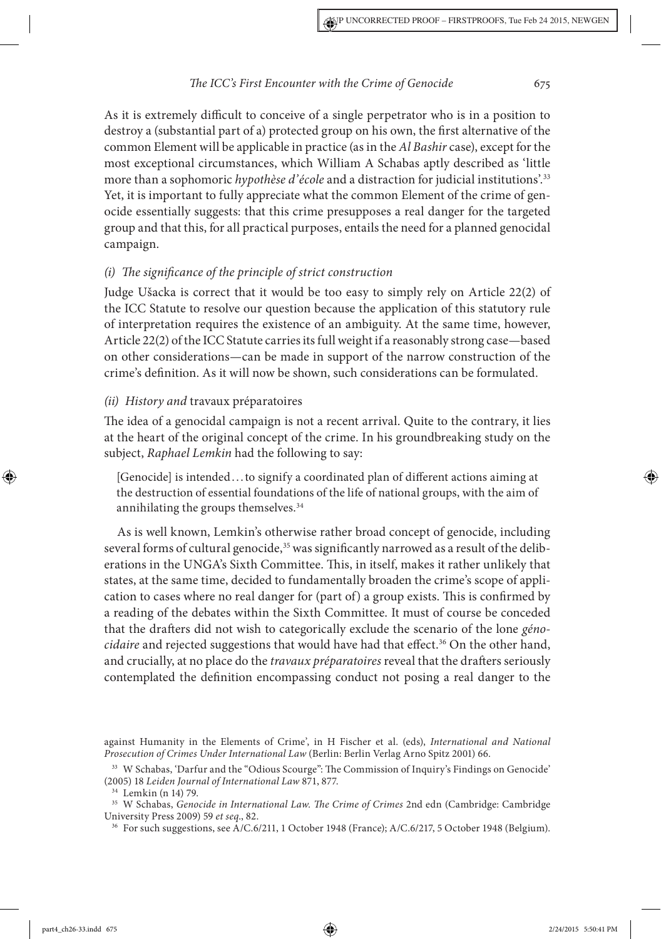As it is extremely difficult to conceive of a single perpetrator who is in a position to destroy a (substantial part of a) protected group on his own, the first alternative of the common Element will be applicable in practice (as in the *Al Bashir* case), except for the most exceptional circumstances, which William A Schabas aptly described as 'little more than a sophomoric *hypothèse d'école* and a distraction for judicial institutions'.33 Yet, it is important to fully appreciate what the common Element of the crime of genocide essentially suggests: that this crime presupposes a real danger for the targeted group and that this, for all practical purposes, entails the need for a planned genocidal campaign.

## *(i) The significance of the principle of strict construction*

Judge Ušacka is correct that it would be too easy to simply rely on Article 22(2) of the ICC Statute to resolve our question because the application of this statutory rule of interpretation requires the existence of an ambiguity. At the same time, however, Article 22(2) of the ICC Statute carries its full weight if a reasonably strong case—based on other considerations—can be made in support of the narrow construction of the crime's definition. As it will now be shown, such considerations can be formulated.

## *(ii) History and* travaux préparatoires

The idea of a genocidal campaign is not a recent arrival. Quite to the contrary, it lies at the heart of the original concept of the crime. In his groundbreaking study on the subject, *Raphael Lemkin* had the following to say:

[Genocide] is intended. . .to signify a coordinated plan of different actions aiming at the destruction of essential foundations of the life of national groups, with the aim of annihilating the groups themselves.<sup>34</sup>

As is well known, Lemkin's otherwise rather broad concept of genocide, including several forms of cultural genocide,<sup>35</sup> was significantly narrowed as a result of the deliberations in the UNGA's Sixth Committee. This, in itself, makes it rather unlikely that states, at the same time, decided to fundamentally broaden the crime's scope of application to cases where no real danger for (part of) a group exists. This is confirmed by a reading of the debates within the Sixth Committee. It must of course be conceded that the drafters did not wish to categorically exclude the scenario of the lone *génocidaire* and rejected suggestions that would have had that effect.<sup>36</sup> On the other hand, and crucially, at no place do the *travaux préparatoires* reveal that the drafters seriously contemplated the definition encompassing conduct not posing a real danger to the

<sup>34</sup> Lemkin (n 14) 79.

⊕

against Humanity in the Elements of Crime', in H Fischer et al. (eds), *International and National Prosecution of Crimes Under International Law* (Berlin: Berlin Verlag Arno Spitz 2001) 66.

<sup>33</sup> W Schabas, 'Darfur and the "Odious Scourge": The Commission of Inquiry's Findings on Genocide' (2005) 18 *Leiden Journal of International Law* 871, 877.

<sup>&</sup>lt;sup>35</sup> W Schabas, *Genocide in International Law. The Crime of Crimes* 2nd edn (Cambridge: Cambridge University Press 2009) 59 *et seq*., 82.

<sup>36</sup> For such suggestions, see A/C.6/211, 1 October 1948 (France); A/C.6/217, 5 October 1948 (Belgium).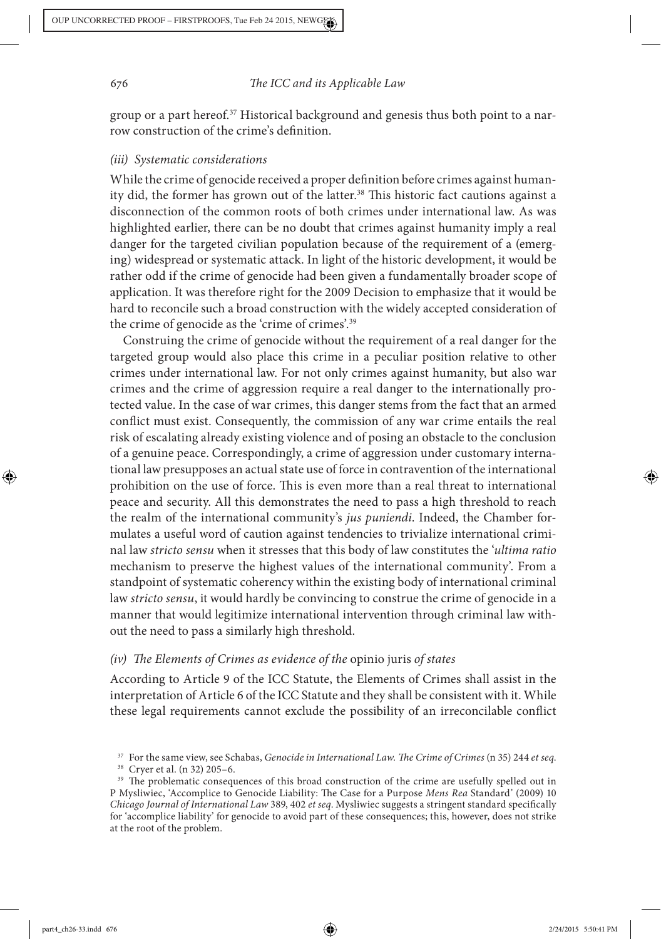group or a part hereof.<sup>37</sup> Historical background and genesis thus both point to a narrow construction of the crime's definition.

## *(iii) Systematic considerations*

While the crime of genocide received a proper definition before crimes against humanity did, the former has grown out of the latter.<sup>38</sup> This historic fact cautions against a disconnection of the common roots of both crimes under international law. As was highlighted earlier, there can be no doubt that crimes against humanity imply a real danger for the targeted civilian population because of the requirement of a (emerging) widespread or systematic attack. In light of the historic development, it would be rather odd if the crime of genocide had been given a fundamentally broader scope of application. It was therefore right for the 2009 Decision to emphasize that it would be hard to reconcile such a broad construction with the widely accepted consideration of the crime of genocide as the 'crime of crimes'.39

Construing the crime of genocide without the requirement of a real danger for the targeted group would also place this crime in a peculiar position relative to other crimes under international law. For not only crimes against humanity, but also war crimes and the crime of aggression require a real danger to the internationally protected value. In the case of war crimes, this danger stems from the fact that an armed conflict must exist. Consequently, the commission of any war crime entails the real risk of escalating already existing violence and of posing an obstacle to the conclusion of a genuine peace. Correspondingly, a crime of aggression under customary international law presupposes an actual state use of force in contravention of the international prohibition on the use of force. This is even more than a real threat to international peace and security. All this demonstrates the need to pass a high threshold to reach the realm of the international community's *jus puniendi*. Indeed, the Chamber formulates a useful word of caution against tendencies to trivialize international criminal law *stricto sensu* when it stresses that this body of law constitutes the '*ultima ratio* mechanism to preserve the highest values of the international community'. From a standpoint of systematic coherency within the existing body of international criminal law *stricto sensu*, it would hardly be convincing to construe the crime of genocide in a manner that would legitimize international intervention through criminal law without the need to pass a similarly high threshold.

## *(iv) The Elements of Crimes as evidence of the* opinio juris *of states*

According to Article 9 of the ICC Statute, the Elements of Crimes shall assist in the interpretation of Article 6 of the ICC Statute and they shall be consistent with it. While these legal requirements cannot exclude the possibility of an irreconcilable conflict

⊕

<sup>37</sup> For the same view, see Schabas, *Genocide in International Law. The Crime of Crimes* (n 35) 244 *et seq*.

<sup>38</sup> Cryer et al. (n 32) 205–6.

<sup>&</sup>lt;sup>39</sup> The problematic consequences of this broad construction of the crime are usefully spelled out in P Mysliwiec, 'Accomplice to Genocide Liability: The Case for a Purpose *Mens Rea* Standard' (2009) 10 *Chicago Journal of International Law* 389, 402 *et seq*. Mysliwiec suggests a stringent standard specifically for 'accomplice liability' for genocide to avoid part of these consequences; this, however, does not strike at the root of the problem.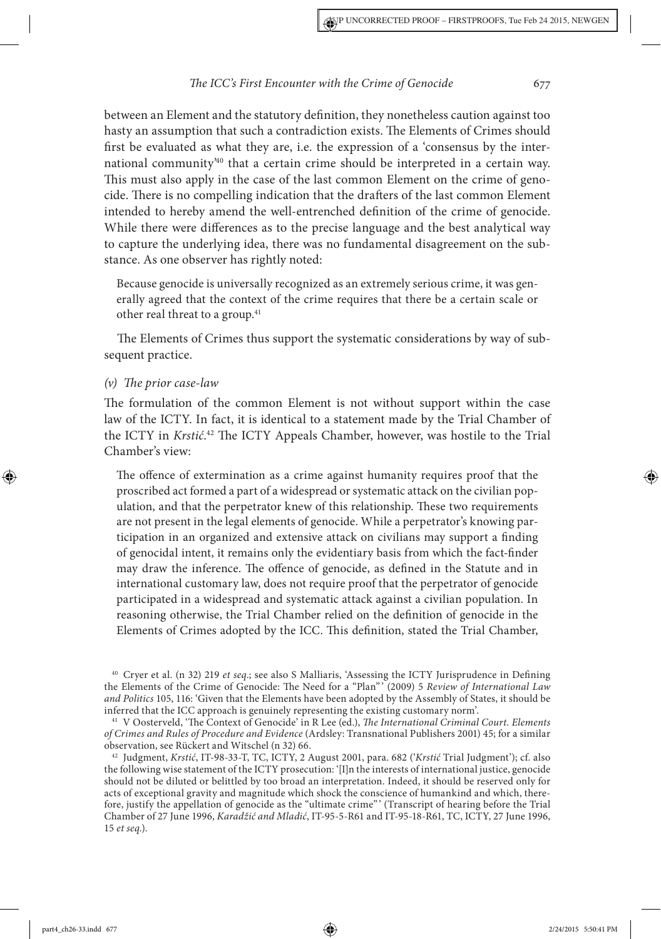between an Element and the statutory definition, they nonetheless caution against too hasty an assumption that such a contradiction exists. The Elements of Crimes should first be evaluated as what they are, i.e. the expression of a 'consensus by the international community'40 that a certain crime should be interpreted in a certain way. This must also apply in the case of the last common Element on the crime of genocide. There is no compelling indication that the drafters of the last common Element intended to hereby amend the well-entrenched definition of the crime of genocide. While there were differences as to the precise language and the best analytical way to capture the underlying idea, there was no fundamental disagreement on the substance. As one observer has rightly noted:

Because genocide is universally recognized as an extremely serious crime, it was generally agreed that the context of the crime requires that there be a certain scale or other real threat to a group.<sup>41</sup>

The Elements of Crimes thus support the systematic considerations by way of subsequent practice.

#### *(v) The prior case-law*

The formulation of the common Element is not without support within the case law of the ICTY. In fact, it is identical to a statement made by the Trial Chamber of the ICTY in *Krstić*. 42 The ICTY Appeals Chamber, however, was hostile to the Trial Chamber's view:

The offence of extermination as a crime against humanity requires proof that the proscribed act formed a part of a widespread or systematic attack on the civilian population, and that the perpetrator knew of this relationship. These two requirements are not present in the legal elements of genocide. While a perpetrator's knowing participation in an organized and extensive attack on civilians may support a finding of genocidal intent, it remains only the evidentiary basis from which the fact-finder may draw the inference. The offence of genocide, as defined in the Statute and in international customary law, does not require proof that the perpetrator of genocide participated in a widespread and systematic attack against a civilian population. In reasoning otherwise, the Trial Chamber relied on the definition of genocide in the Elements of Crimes adopted by the ICC. This definition, stated the Trial Chamber,

⊕

<sup>40</sup> Cryer et al. (n 32) 219 *et seq*.; see also S Malliaris, 'Assessing the ICTY Jurisprudence in Defining the Elements of the Crime of Genocide: The Need for a "Plan" ' (2009) 5 *Review of International Law and Politics* 105, 116: 'Given that the Elements have been adopted by the Assembly of States, it should be inferred that the ICC approach is genuinely representing the existing customary norm'.

<sup>41</sup> V Oosterveld, 'The Context of Genocide' in R Lee (ed.), *The International Criminal Court. Elements of Crimes and Rules of Procedure and Evidence* (Ardsley: Transnational Publishers 2001) 45; for a similar observation, see Rückert and Witschel (n 32) 66.

<sup>42</sup> Judgment, *Krstić*, IT-98-33-T, TC, ICTY, 2 August 2001, para. 682 ('*Krstić* Trial Judgment'); cf. also the following wise statement of the ICTY prosecution: '[I]n the interests of international justice, genocide should not be diluted or belittled by too broad an interpretation. Indeed, it should be reserved only for acts of exceptional gravity and magnitude which shock the conscience of humankind and which, therefore, justify the appellation of genocide as the "ultimate crime" ' (Transcript of hearing before the Trial Chamber of 27 June 1996, *Karadžić and Mladić*, IT-95-5-R61 and IT-95-18-R61, TC, ICTY, 27 June 1996, 15 *et seq*.).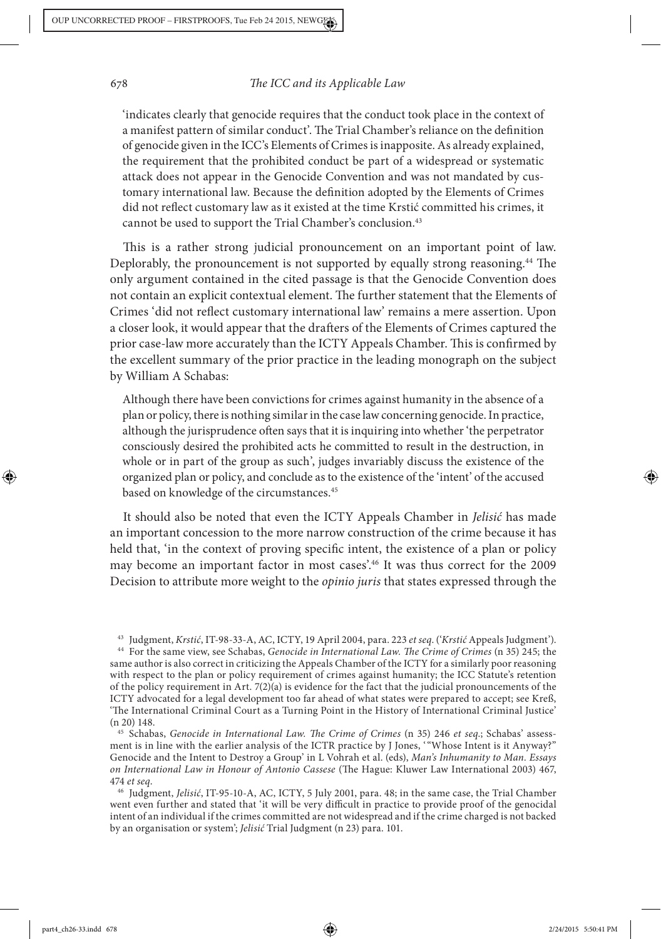'indicates clearly that genocide requires that the conduct took place in the context of a manifest pattern of similar conduct'. The Trial Chamber's reliance on the definition of genocide given in the ICC's Elements of Crimes is inapposite. As already explained, the requirement that the prohibited conduct be part of a widespread or systematic attack does not appear in the Genocide Convention and was not mandated by customary international law. Because the definition adopted by the Elements of Crimes did not reflect customary law as it existed at the time Krstić committed his crimes, it cannot be used to support the Trial Chamber's conclusion.<sup>43</sup>

This is a rather strong judicial pronouncement on an important point of law. Deplorably, the pronouncement is not supported by equally strong reasoning.<sup>44</sup> The only argument contained in the cited passage is that the Genocide Convention does not contain an explicit contextual element. The further statement that the Elements of Crimes 'did not reflect customary international law' remains a mere assertion. Upon a closer look, it would appear that the drafters of the Elements of Crimes captured the prior case-law more accurately than the ICTY Appeals Chamber. This is confirmed by the excellent summary of the prior practice in the leading monograph on the subject by William A Schabas:

Although there have been convictions for crimes against humanity in the absence of a plan or policy, there is nothing similar in the case law concerning genocide. In practice, although the jurisprudence often says that it is inquiring into whether 'the perpetrator consciously desired the prohibited acts he committed to result in the destruction, in whole or in part of the group as such', judges invariably discuss the existence of the organized plan or policy, and conclude as to the existence of the 'intent' of the accused based on knowledge of the circumstances.45

It should also be noted that even the ICTY Appeals Chamber in *Jelisić* has made an important concession to the more narrow construction of the crime because it has held that, 'in the context of proving specific intent, the existence of a plan or policy may become an important factor in most cases'.46 It was thus correct for the 2009 Decision to attribute more weight to the *opinio juris* that states expressed through the

<sup>43</sup> Judgment, *Krstić*, IT-98-33-A, AC, ICTY, 19 April 2004, para. 223 *et seq*. ('*Krstić* Appeals Judgment'). <sup>44</sup> For the same view, see Schabas, *Genocide in International Law. The Crime of Crimes* (n 35) 245; the same author is also correct in criticizing the Appeals Chamber of the ICTY for a similarly poor reasoning with respect to the plan or policy requirement of crimes against humanity; the ICC Statute's retention of the policy requirement in Art.  $7(2)(a)$  is evidence for the fact that the judicial pronouncements of the ICTY advocated for a legal development too far ahead of what states were prepared to accept; see Kreß, 'The International Criminal Court as a Turning Point in the History of International Criminal Justice' (n 20) 148.

<sup>45</sup> Schabas, *Genocide in International Law. The Crime of Crimes* (n 35) 246 *et seq*.; Schabas' assessment is in line with the earlier analysis of the ICTR practice by J Jones, '"Whose Intent is it Anyway?" Genocide and the Intent to Destroy a Group' in L Vohrah et al. (eds), *Man's Inhumanity to Man. Essays on International Law in Honour of Antonio Cassese* (The Hague: Kluwer Law International 2003) 467, 474 *et seq*.

<sup>46</sup> Judgment, *Jelisić*, IT-95-10-A, AC, ICTY, 5 July 2001, para. 48; in the same case, the Trial Chamber went even further and stated that 'it will be very difficult in practice to provide proof of the genocidal intent of an individual if the crimes committed are not widespread and if the crime charged is not backed by an organisation or system'; *Jelisić* Trial Judgment (n 23) para. 101.

⊕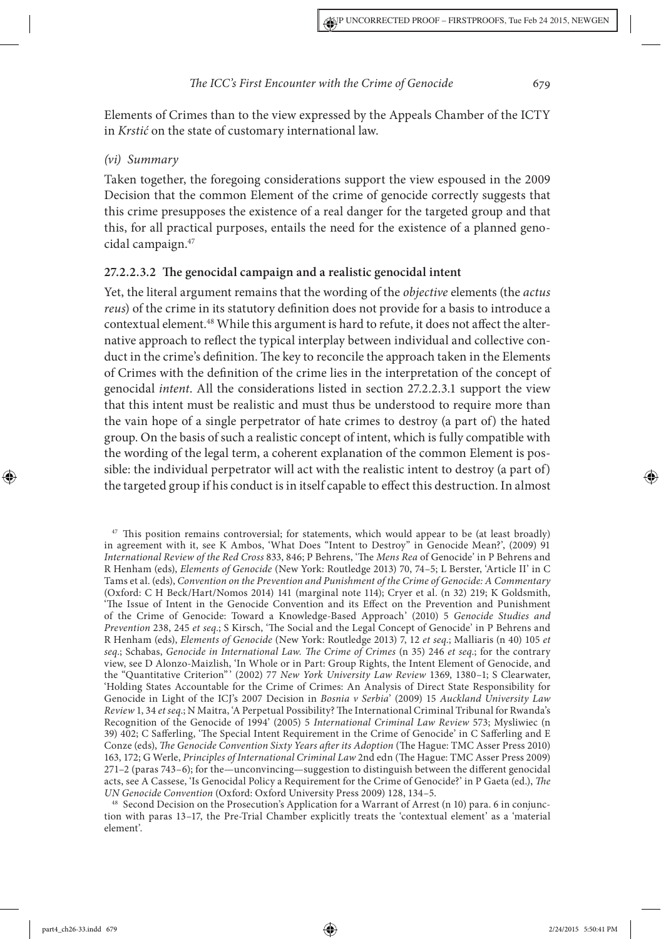Elements of Crimes than to the view expressed by the Appeals Chamber of the ICTY in *Krstić* on the state of customary international law.

## *(vi) Summary*

Taken together, the foregoing considerations support the view espoused in the 2009 Decision that the common Element of the crime of genocide correctly suggests that this crime presupposes the existence of a real danger for the targeted group and that this, for all practical purposes, entails the need for the existence of a planned genocidal campaign.47

## **27.2.2.3.2 The genocidal campaign and a realistic genocidal intent**

Yet, the literal argument remains that the wording of the *objective* elements (the *actus reus*) of the crime in its statutory definition does not provide for a basis to introduce a contextual element.<sup>48</sup> While this argument is hard to refute, it does not affect the alternative approach to reflect the typical interplay between individual and collective conduct in the crime's definition. The key to reconcile the approach taken in the Elements of Crimes with the definition of the crime lies in the interpretation of the concept of genocidal *intent*. All the considerations listed in section 27.2.2.3.1 support the view that this intent must be realistic and must thus be understood to require more than the vain hope of a single perpetrator of hate crimes to destroy (a part of) the hated group. On the basis of such a realistic concept of intent, which is fully compatible with the wording of the legal term, a coherent explanation of the common Element is possible: the individual perpetrator will act with the realistic intent to destroy (a part of) the targeted group if his conduct is in itself capable to effect this destruction. In almost

⊕

<sup>&</sup>lt;sup>47</sup> This position remains controversial; for statements, which would appear to be (at least broadly) in agreement with it, see K Ambos, 'What Does "Intent to Destroy" in Genocide Mean?', (2009) 91 *International Review of the Red Cross* 833, 846; P Behrens, 'The *Mens Rea* of Genocide' in P Behrens and R Henham (eds), *Elements of Genocide* (New York: Routledge 2013) 70, 74–5; L Berster, 'Article II' in C Tams et al. (eds), *Convention on the Prevention and Punishment of the Crime of Genocide: A Commentary* (Oxford: C H Beck/Hart/Nomos 2014) 141 (marginal note 114); Cryer et al. (n 32) 219; K Goldsmith, 'The Issue of Intent in the Genocide Convention and its Effect on the Prevention and Punishment of the Crime of Genocide: Toward a Knowledge-Based Approach' (2010) 5 *Genocide Studies and Prevention* 238, 245 *et seq*.; S Kirsch, 'The Social and the Legal Concept of Genocide' in P Behrens and R Henham (eds), *Elements of Genocide* (New York: Routledge 2013) 7, 12 *et seq*.; Malliaris (n 40) 105 *et seq*.; Schabas, *Genocide in International Law. The Crime of Crimes* (n 35) 246 *et seq*.; for the contrary view, see D Alonzo-Maizlish, 'In Whole or in Part: Group Rights, the Intent Element of Genocide, and the "Quantitative Criterion" ' (2002) 77 *New York University Law Review* 1369, 1380–1; S Clearwater, 'Holding States Accountable for the Crime of Crimes: An Analysis of Direct State Responsibility for Genocide in Light of the ICJ's 2007 Decision in *Bosnia v Serbia*' (2009) 15 *Auckland University Law Review* 1, 34 *et seq*.; N Maitra, 'A Perpetual Possibility? The International Criminal Tribunal for Rwanda's Recognition of the Genocide of 1994' (2005) 5 *International Criminal Law Review* 573; Mysliwiec (n 39) 402; C Safferling, 'The Special Intent Requirement in the Crime of Genocide' in C Safferling and E Conze (eds), *The Genocide Convention Sixty Years after its Adoption* (The Hague: TMC Asser Press 2010) 163, 172; G Werle, *Principles of International Criminal Law* 2nd edn (The Hague: TMC Asser Press 2009) 271–2 (paras 743–6); for the—unconvincing—suggestion to distinguish between the different genocidal acts, see A Cassese, 'Is Genocidal Policy a Requirement for the Crime of Genocide?' in P Gaeta (ed.), *The UN Genocide Convention* (Oxford: Oxford University Press 2009) 128, 134–5.

<sup>&</sup>lt;sup>48</sup> Second Decision on the Prosecution's Application for a Warrant of Arrest (n 10) para. 6 in conjunction with paras 13–17, the Pre-Trial Chamber explicitly treats the 'contextual element' as a 'material element'.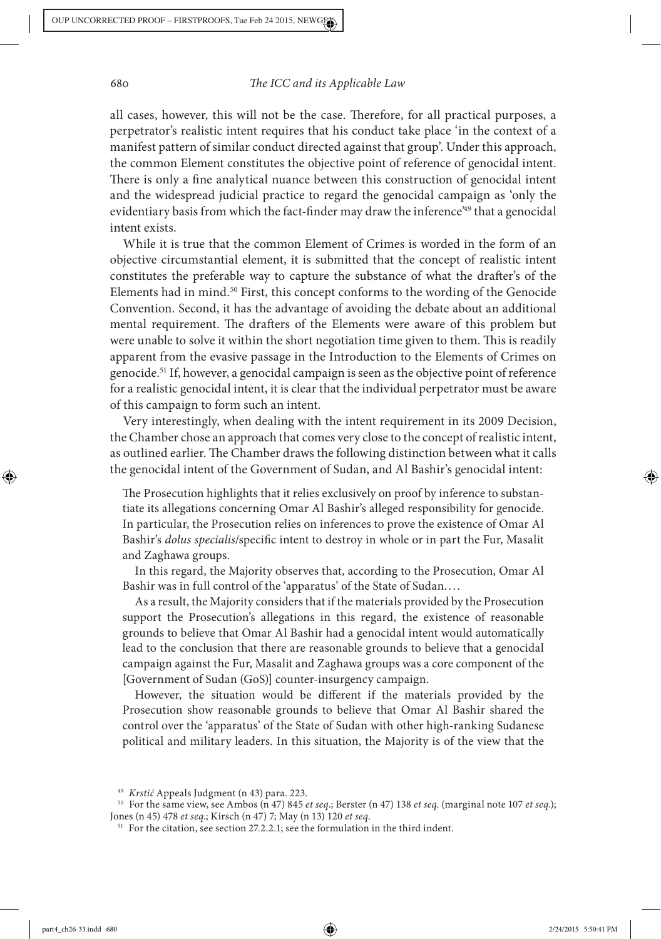all cases, however, this will not be the case. Therefore, for all practical purposes, a perpetrator's realistic intent requires that his conduct take place 'in the context of a manifest pattern of similar conduct directed against that group'. Under this approach, the common Element constitutes the objective point of reference of genocidal intent. There is only a fine analytical nuance between this construction of genocidal intent and the widespread judicial practice to regard the genocidal campaign as 'only the evidentiary basis from which the fact-finder may draw the inference<sup>49</sup> that a genocidal intent exists.

While it is true that the common Element of Crimes is worded in the form of an objective circumstantial element, it is submitted that the concept of realistic intent constitutes the preferable way to capture the substance of what the drafter's of the Elements had in mind.50 First, this concept conforms to the wording of the Genocide Convention. Second, it has the advantage of avoiding the debate about an additional mental requirement. The drafters of the Elements were aware of this problem but were unable to solve it within the short negotiation time given to them. This is readily apparent from the evasive passage in the Introduction to the Elements of Crimes on genocide.51 If, however, a genocidal campaign is seen as the objective point of reference for a realistic genocidal intent, it is clear that the individual perpetrator must be aware of this campaign to form such an intent.

Very interestingly, when dealing with the intent requirement in its 2009 Decision, the Chamber chose an approach that comes very close to the concept of realistic intent, as outlined earlier. The Chamber draws the following distinction between what it calls the genocidal intent of the Government of Sudan, and Al Bashir's genocidal intent:

The Prosecution highlights that it relies exclusively on proof by inference to substantiate its allegations concerning Omar Al Bashir's alleged responsibility for genocide. In particular, the Prosecution relies on inferences to prove the existence of Omar Al Bashir's *dolus specialis*/specific intent to destroy in whole or in part the Fur, Masalit and Zaghawa groups.

In this regard, the Majority observes that, according to the Prosecution, Omar Al Bashir was in full control of the 'apparatus' of the State of Sudan. . . .

As a result, the Majority considers that if the materials provided by the Prosecution support the Prosecution's allegations in this regard, the existence of reasonable grounds to believe that Omar Al Bashir had a genocidal intent would automatically lead to the conclusion that there are reasonable grounds to believe that a genocidal campaign against the Fur, Masalit and Zaghawa groups was a core component of the [Government of Sudan (GoS)] counter-insurgency campaign.

However, the situation would be different if the materials provided by the Prosecution show reasonable grounds to believe that Omar Al Bashir shared the control over the 'apparatus' of the State of Sudan with other high-ranking Sudanese political and military leaders. In this situation, the Majority is of the view that the

⊕

<sup>49</sup> *Krstić* Appeals Judgment (n 43) para. 223.

<sup>50</sup> For the same view, see Ambos (n 47) 845 *et seq*.; Berster (n 47) 138 *et seq*. (marginal note 107 *et seq*.); Jones (n 45) 478 *et seq*.; Kirsch (n 47) 7; May (n 13) 120 *et seq*.

<sup>51</sup> For the citation, see section 27.2.2.1; see the formulation in the third indent.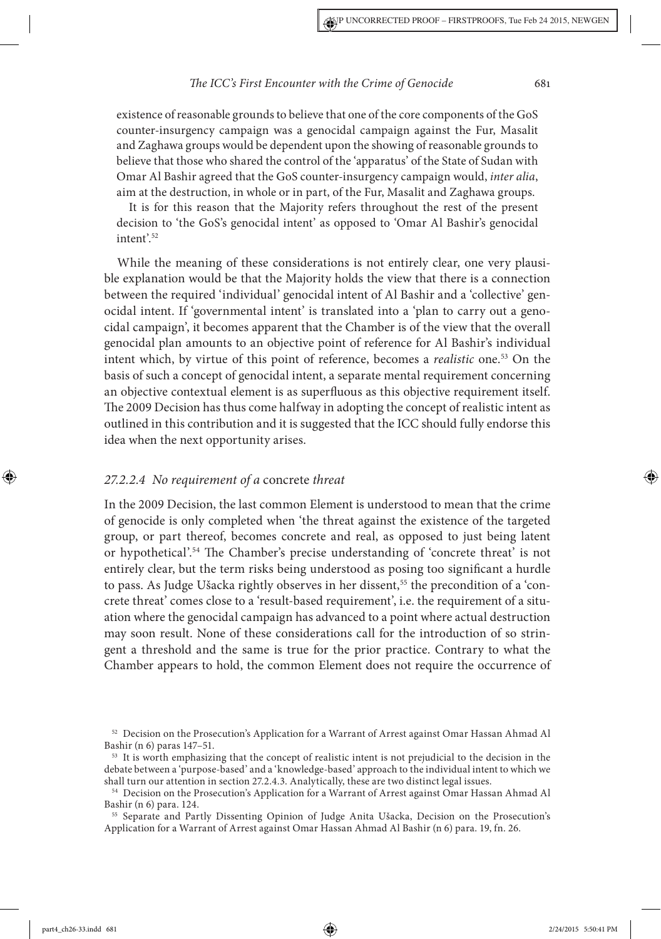existence of reasonable grounds to believe that one of the core components of the GoS counter-insurgency campaign was a genocidal campaign against the Fur, Masalit and Zaghawa groups would be dependent upon the showing of reasonable grounds to believe that those who shared the control of the 'apparatus' of the State of Sudan with Omar Al Bashir agreed that the GoS counter-insurgency campaign would, *inter alia*, aim at the destruction, in whole or in part, of the Fur, Masalit and Zaghawa groups.

It is for this reason that the Majority refers throughout the rest of the present decision to 'the GoS's genocidal intent' as opposed to 'Omar Al Bashir's genocidal intent'.52

While the meaning of these considerations is not entirely clear, one very plausible explanation would be that the Majority holds the view that there is a connection between the required 'individual' genocidal intent of Al Bashir and a 'collective' genocidal intent. If 'governmental intent' is translated into a 'plan to carry out a genocidal campaign', it becomes apparent that the Chamber is of the view that the overall genocidal plan amounts to an objective point of reference for Al Bashir's individual intent which, by virtue of this point of reference, becomes a *realistic* one.53 On the basis of such a concept of genocidal intent, a separate mental requirement concerning an objective contextual element is as superfluous as this objective requirement itself. The 2009 Decision has thus come halfway in adopting the concept of realistic intent as outlined in this contribution and it is suggested that the ICC should fully endorse this idea when the next opportunity arises.

#### *27.2.2.4 No requirement of a* concrete *threat*

In the 2009 Decision, the last common Element is understood to mean that the crime of genocide is only completed when 'the threat against the existence of the targeted group, or part thereof, becomes concrete and real, as opposed to just being latent or hypothetical'.54 The Chamber's precise understanding of 'concrete threat' is not entirely clear, but the term risks being understood as posing too significant a hurdle to pass. As Judge Ušacka rightly observes in her dissent,<sup>55</sup> the precondition of a 'concrete threat' comes close to a 'result-based requirement', i.e. the requirement of a situation where the genocidal campaign has advanced to a point where actual destruction may soon result. None of these considerations call for the introduction of so stringent a threshold and the same is true for the prior practice. Contrary to what the Chamber appears to hold, the common Element does not require the occurrence of

⊕

<sup>52</sup> Decision on the Prosecution's Application for a Warrant of Arrest against Omar Hassan Ahmad Al Bashir (n 6) paras 147–51.

<sup>&</sup>lt;sup>53</sup> It is worth emphasizing that the concept of realistic intent is not prejudicial to the decision in the debate between a 'purpose-based' and a 'knowledge-based' approach to the individual intent to which we shall turn our attention in section 27.2.4.3. Analytically, these are two distinct legal issues.

<sup>54</sup> Decision on the Prosecution's Application for a Warrant of Arrest against Omar Hassan Ahmad Al Bashir (n 6) para. 124.

<sup>55</sup> Separate and Partly Dissenting Opinion of Judge Anita Ušacka, Decision on the Prosecution's Application for a Warrant of Arrest against Omar Hassan Ahmad Al Bashir (n 6) para. 19, fn. 26.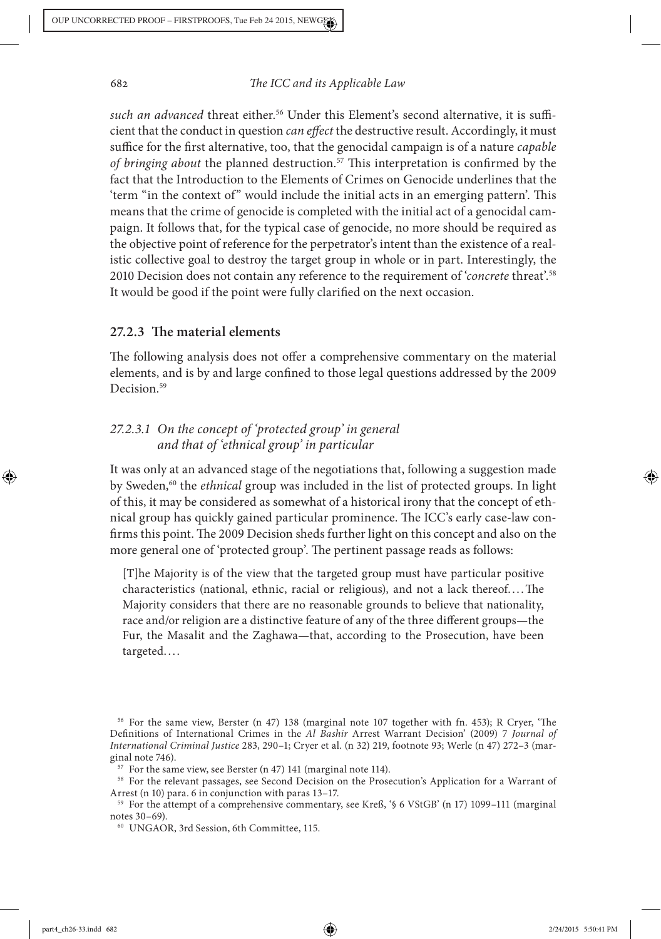such an advanced threat either.<sup>56</sup> Under this Element's second alternative, it is sufficient that the conduct in question *can effect* the destructive result. Accordingly, it must suffice for the first alternative, too, that the genocidal campaign is of a nature *capable of bringing about* the planned destruction.57 This interpretation is confirmed by the fact that the Introduction to the Elements of Crimes on Genocide underlines that the 'term "in the context of" would include the initial acts in an emerging pattern'. This means that the crime of genocide is completed with the initial act of a genocidal campaign. It follows that, for the typical case of genocide, no more should be required as the objective point of reference for the perpetrator's intent than the existence of a realistic collective goal to destroy the target group in whole or in part. Interestingly, the 2010 Decision does not contain any reference to the requirement of '*concrete* threat'.58 It would be good if the point were fully clarified on the next occasion.

## **27.2.3 The material elements**

The following analysis does not offer a comprehensive commentary on the material elements, and is by and large confined to those legal questions addressed by the 2009 Decision.<sup>59</sup>

## *27.2.3.1 On the concept of 'protected group' in general and that of 'ethnical group' in particular*

It was only at an advanced stage of the negotiations that, following a suggestion made by Sweden,<sup>60</sup> the *ethnical* group was included in the list of protected groups. In light of this, it may be considered as somewhat of a historical irony that the concept of ethnical group has quickly gained particular prominence. The ICC's early case-law confirms this point. The 2009 Decision sheds further light on this concept and also on the more general one of 'protected group'. The pertinent passage reads as follows:

[T]he Majority is of the view that the targeted group must have particular positive characteristics (national, ethnic, racial or religious), and not a lack thereof....The Majority considers that there are no reasonable grounds to believe that nationality, race and/or religion are a distinctive feature of any of the three different groups—the Fur, the Masalit and the Zaghawa—that, according to the Prosecution, have been targeted. . . .

⊕

<sup>56</sup> For the same view, Berster (n 47) 138 (marginal note 107 together with fn. 453); R Cryer, 'The Definitions of International Crimes in the *Al Bashir* Arrest Warrant Decision' (2009) 7 *Journal of International Criminal Justice* 283, 290–1; Cryer et al. (n 32) 219, footnote 93; Werle (n 47) 272–3 (marginal note 746).

<sup>57</sup> For the same view, see Berster (n 47) 141 (marginal note 114).

<sup>58</sup> For the relevant passages, see Second Decision on the Prosecution's Application for a Warrant of Arrest (n 10) para. 6 in conjunction with paras 13–17.

<sup>59</sup> For the attempt of a comprehensive commentary, see Kreß, '§ 6 VStGB' (n 17) 1099–111 (marginal notes 30–69).

<sup>60</sup> UNGAOR, 3rd Session, 6th Committee, 115.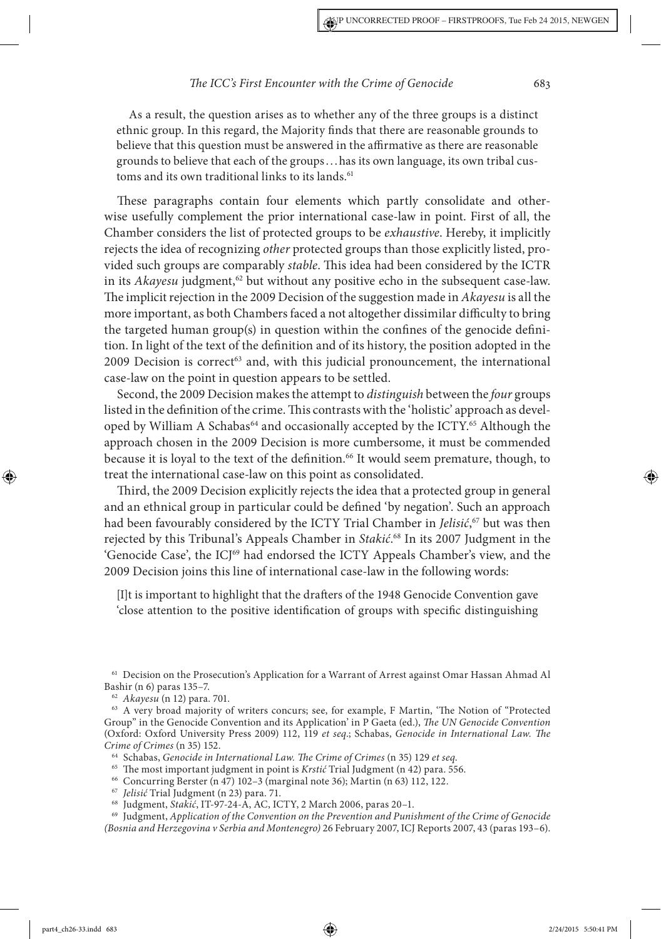As a result, the question arises as to whether any of the three groups is a distinct ethnic group. In this regard, the Majority finds that there are reasonable grounds to believe that this question must be answered in the affirmative as there are reasonable grounds to believe that each of the groups. . .has its own language, its own tribal customs and its own traditional links to its lands.<sup>61</sup>

These paragraphs contain four elements which partly consolidate and otherwise usefully complement the prior international case-law in point. First of all, the Chamber considers the list of protected groups to be *exhaustive*. Hereby, it implicitly rejects the idea of recognizing *other* protected groups than those explicitly listed, provided such groups are comparably *stable*. This idea had been considered by the ICTR in its  $Akayesu$  judgment, $62$  but without any positive echo in the subsequent case-law. The implicit rejection in the 2009 Decision of the suggestion made in *Akayesu* is all the more important, as both Chambers faced a not altogether dissimilar difficulty to bring the targeted human group(s) in question within the confines of the genocide definition. In light of the text of the definition and of its history, the position adopted in the  $2009$  Decision is correct<sup>63</sup> and, with this judicial pronouncement, the international case-law on the point in question appears to be settled.

Second, the 2009 Decision makes the attempt to *distinguish* between the *four* groups listed in the definition of the crime. This contrasts with the 'holistic' approach as developed by William A Schabas<sup>64</sup> and occasionally accepted by the ICTY.<sup>65</sup> Although the approach chosen in the 2009 Decision is more cumbersome, it must be commended because it is loyal to the text of the definition.66 It would seem premature, though, to treat the international case-law on this point as consolidated.

Third, the 2009 Decision explicitly rejects the idea that a protected group in general and an ethnical group in particular could be defined 'by negation'. Such an approach had been favourably considered by the ICTY Trial Chamber in *Jelisić*, 67 but was then rejected by this Tribunal's Appeals Chamber in *Stakić*. 68 In its 2007 Judgment in the 'Genocide Case', the ICJ<sup>69</sup> had endorsed the ICTY Appeals Chamber's view, and the 2009 Decision joins this line of international case-law in the following words:

[I]t is important to highlight that the drafters of the 1948 Genocide Convention gave 'close attention to the positive identification of groups with specific distinguishing

<sup>61</sup> Decision on the Prosecution's Application for a Warrant of Arrest against Omar Hassan Ahmad Al Bashir (n 6) paras 135–7.

<sup>65</sup> The most important judgment in point is *Krstić* Trial Judgment (n 42) para. 556.

<sup>66</sup> Concurring Berster (n 47) 102–3 (marginal note 36); Martin (n 63) 112, 122.

<sup>67</sup> *Jelisić* Trial Judgment (n 23) para. 71.

⊕

<sup>62</sup> *Akayesu* (n 12) para. 701.

<sup>&</sup>lt;sup>63</sup> A very broad majority of writers concurs; see, for example, F Martin, 'The Notion of "Protected Group" in the Genocide Convention and its Application' in P Gaeta (ed.), *The UN Genocide Convention* (Oxford: Oxford University Press 2009) 112, 119 *et seq*.; Schabas, *Genocide in International Law. The Crime of Crimes* (n 35) 152.

<sup>64</sup> Schabas, *Genocide in International Law. The Crime of Crimes* (n 35) 129 *et seq*.

<sup>68</sup> Judgment, *Stakić*, IT-97-24-A, AC, ICTY, 2 March 2006, paras 20–1.

<sup>69</sup> Judgment, *Application of the Convention on the Prevention and Punishment of the Crime of Genocide (Bosnia and Herzegovina v Serbia and Montenegro)* 26 February 2007, ICJ Reports 2007, 43 (paras 193–6).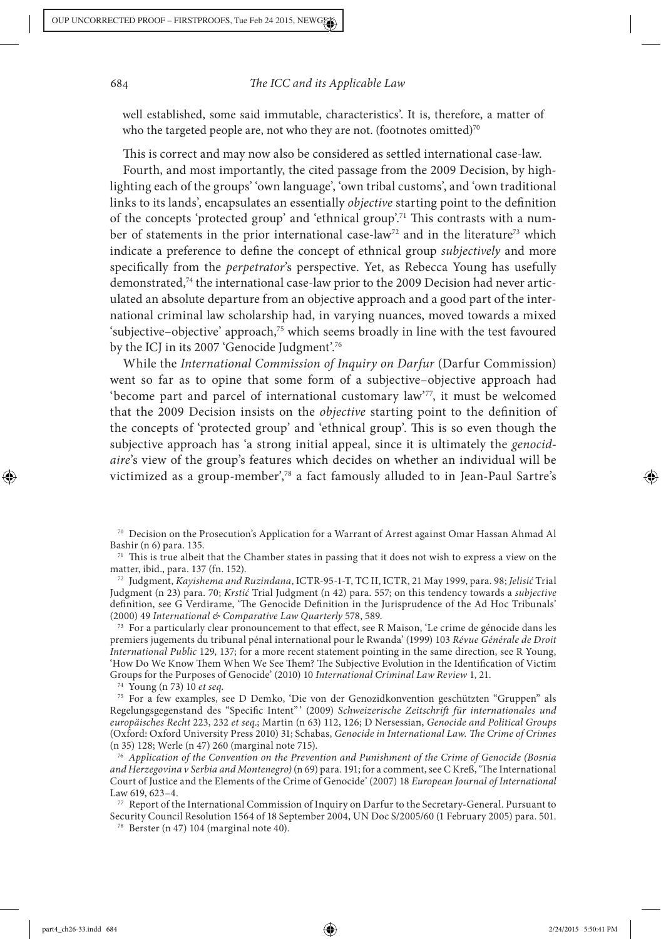well established, some said immutable, characteristics'. It is, therefore, a matter of who the targeted people are, not who they are not. (footnotes omitted)<sup>70</sup>

This is correct and may now also be considered as settled international case-law.

Fourth, and most importantly, the cited passage from the 2009 Decision, by highlighting each of the groups' 'own language', 'own tribal customs', and 'own traditional links to its lands', encapsulates an essentially *objective* starting point to the definition of the concepts 'protected group' and 'ethnical group'.71 This contrasts with a number of statements in the prior international case-law<sup>72</sup> and in the literature<sup>73</sup> which indicate a preference to define the concept of ethnical group *subjectively* and more specifically from the *perpetrator*'s perspective. Yet, as Rebecca Young has usefully demonstrated,<sup>74</sup> the international case-law prior to the 2009 Decision had never articulated an absolute departure from an objective approach and a good part of the international criminal law scholarship had, in varying nuances, moved towards a mixed 'subjective-objective' approach,<sup>75</sup> which seems broadly in line with the test favoured by the ICJ in its 2007 'Genocide Judgment'.76

While the *International Commission of Inquiry on Darfur* (Darfur Commission) went so far as to opine that some form of a subjective–objective approach had 'become part and parcel of international customary law'77, it must be welcomed that the 2009 Decision insists on the *objective* starting point to the definition of the concepts of 'protected group' and 'ethnical group'. This is so even though the subjective approach has 'a strong initial appeal, since it is ultimately the *genocidaire*'s view of the group's features which decides on whether an individual will be victimized as a group-member',78 a fact famously alluded to in Jean-Paul Sartre's

<sup>70</sup> Decision on the Prosecution's Application for a Warrant of Arrest against Omar Hassan Ahmad Al Bashir (n 6) para. 135.

<sup>71</sup> This is true albeit that the Chamber states in passing that it does not wish to express a view on the matter, ibid., para. 137 (fn. 152).

<sup>72</sup> Judgment, *Kayishema and Ruzindana*, ICTR-95-1-T, TC II, ICTR, 21 May 1999, para. 98; *Jelisić* Trial Judgment (n 23) para. 70; *Krstić* Trial Judgment (n 42) para. 557; on this tendency towards a *subjective* definition, see G Verdirame, 'The Genocide Definition in the Jurisprudence of the Ad Hoc Tribunals' (2000) 49 *International & Comparative Law Quarterly* 578, 589.

<sup>73</sup> For a particularly clear pronouncement to that effect, see R Maison, 'Le crime de génocide dans les premiers jugements du tribunal pénal international pour le Rwanda' (1999) 103 *Révue Générale de Droit International Public* 129, 137; for a more recent statement pointing in the same direction, see R Young, 'How Do We Know Them When We See Them? The Subjective Evolution in the Identification of Victim Groups for the Purposes of Genocide' (2010) 10 *International Criminal Law Review* 1, 21.

<sup>74</sup> Young (n 73) 10 *et seq*.

<sup>75</sup> For a few examples, see D Demko, 'Die von der Genozidkonvention geschützten "Gruppen" als Regelungsgegenstand des "Specific Intent" ' (2009) *Schweizerische Zeitschrift für internationales und europäisches Recht* 223, 232 *et seq*.; Martin (n 63) 112, 126; D Nersessian, *Genocide and Political Groups* (Oxford: Oxford University Press 2010) 31; Schabas, *Genocide in International Law. The Crime of Crimes* (n 35) 128; Werle (n 47) 260 (marginal note 715).

<sup>76</sup> *Application of the Convention on the Prevention and Punishment of the Crime of Genocide (Bosnia and Herzegovina v Serbia and Montenegro)* (n 69) para. 191; for a comment, see C Kreß, 'The International Court of Justice and the Elements of the Crime of Genocide' (2007) 18 *European Journal of International*  Law 619, 623–4.

<sup>77</sup> Report of the International Commission of Inquiry on Darfur to the Secretary-General. Pursuant to Security Council Resolution 1564 of 18 September 2004, UN Doc S/2005/60 (1 February 2005) para. 501.

<sup>78</sup> Berster (n 47) 104 (marginal note 40).

⊕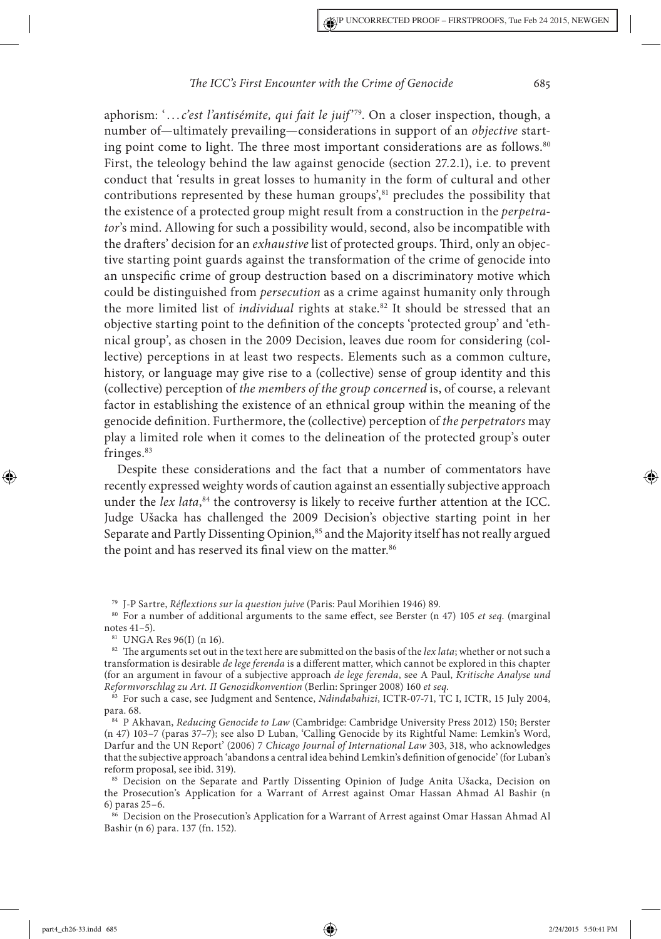aphorism: ' . . .*c'est l'antisémite, qui fait le juif* ' 79. On a closer inspection, though, a number of—ultimately prevailing—considerations in support of an *objective* starting point come to light. The three most important considerations are as follows.<sup>80</sup> First, the teleology behind the law against genocide (section 27.2.1), i.e. to prevent conduct that 'results in great losses to humanity in the form of cultural and other contributions represented by these human groups',<sup>81</sup> precludes the possibility that the existence of a protected group might result from a construction in the *perpetrator*'s mind. Allowing for such a possibility would, second, also be incompatible with the drafters' decision for an *exhaustive* list of protected groups. Third, only an objective starting point guards against the transformation of the crime of genocide into an unspecific crime of group destruction based on a discriminatory motive which could be distinguished from *persecution* as a crime against humanity only through the more limited list of *individual* rights at stake.<sup>82</sup> It should be stressed that an objective starting point to the definition of the concepts 'protected group' and 'ethnical group', as chosen in the 2009 Decision, leaves due room for considering (collective) perceptions in at least two respects. Elements such as a common culture, history, or language may give rise to a (collective) sense of group identity and this (collective) perception of *the members of the group concerned* is, of course, a relevant factor in establishing the existence of an ethnical group within the meaning of the genocide definition. Furthermore, the (collective) perception of *the perpetrators* may play a limited role when it comes to the delineation of the protected group's outer fringes.<sup>83</sup>

Despite these considerations and the fact that a number of commentators have recently expressed weighty words of caution against an essentially subjective approach under the *lex lata*, 84 the controversy is likely to receive further attention at the ICC. Judge Ušacka has challenged the 2009 Decision's objective starting point in her Separate and Partly Dissenting Opinion,<sup>85</sup> and the Majority itself has not really argued the point and has reserved its final view on the matter.<sup>86</sup>

<sup>86</sup> Decision on the Prosecution's Application for a Warrant of Arrest against Omar Hassan Ahmad Al Bashir (n 6) para. 137 (fn. 152).

⊕

<sup>79</sup> J-P Sartre, *Réflextions sur la question juive* (Paris: Paul Morihien 1946) 89.

<sup>80</sup> For a number of additional arguments to the same effect, see Berster (n 47) 105 *et seq*. (marginal notes 41–5).

<sup>81</sup> UNGA Res 96(I) (n 16).

<sup>82</sup> The arguments set out in the text here are submitted on the basis of the *lex lata*; whether or not such a transformation is desirable *de lege ferenda* is a different matter, which cannot be explored in this chapter (for an argument in favour of a subjective approach *de lege ferenda*, see A Paul, *Kritische Analyse und Reformvorschlag zu Art. II Genozidkonvention* (Berlin: Springer 2008) 160 *et seq*.

<sup>83</sup> For such a case, see Judgment and Sentence, *Ndindabahizi*, ICTR-07-71, TC I, ICTR, 15 July 2004, para. 68.

<sup>84</sup> P Akhavan, *Reducing Genocide to Law* (Cambridge: Cambridge University Press 2012) 150; Berster (n 47) 103–7 (paras 37–7); see also D Luban, 'Calling Genocide by its Rightful Name: Lemkin's Word, Darfur and the UN Report' (2006) 7 *Chicago Journal of International Law* 303, 318, who acknowledges that the subjective approach 'abandons a central idea behind Lemkin's definition of genocide' (for Luban's reform proposal, see ibid. 319).

<sup>85</sup> Decision on the Separate and Partly Dissenting Opinion of Judge Anita Ušacka, Decision on the Prosecution's Application for a Warrant of Arrest against Omar Hassan Ahmad Al Bashir (n 6) paras 25–6.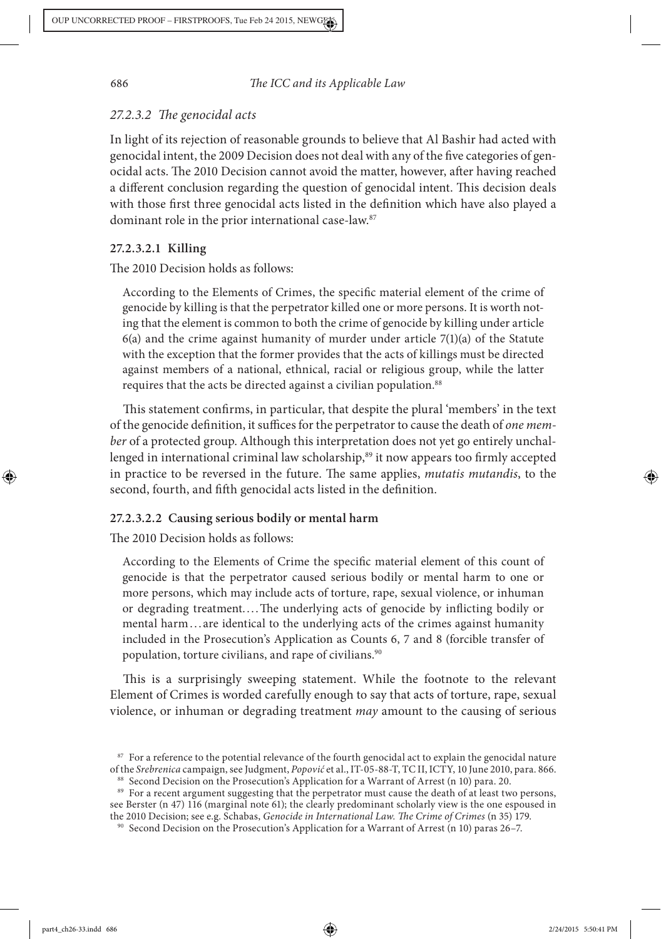#### *27.2.3.2 The genocidal acts*

In light of its rejection of reasonable grounds to believe that Al Bashir had acted with genocidal intent, the 2009 Decision does not deal with any of the five categories of genocidal acts. The 2010 Decision cannot avoid the matter, however, after having reached a different conclusion regarding the question of genocidal intent. This decision deals with those first three genocidal acts listed in the definition which have also played a dominant role in the prior international case-law.87

## **27.2.3.2.1 Killing**

The 2010 Decision holds as follows:

According to the Elements of Crimes, the specific material element of the crime of genocide by killing is that the perpetrator killed one or more persons. It is worth noting that the element is common to both the crime of genocide by killing under article  $6(a)$  and the crime against humanity of murder under article  $7(1)(a)$  of the Statute with the exception that the former provides that the acts of killings must be directed against members of a national, ethnical, racial or religious group, while the latter requires that the acts be directed against a civilian population.<sup>88</sup>

This statement confirms, in particular, that despite the plural 'members' in the text of the genocide definition, it suffices for the perpetrator to cause the death of *one member* of a protected group. Although this interpretation does not yet go entirely unchallenged in international criminal law scholarship,<sup>89</sup> it now appears too firmly accepted in practice to be reversed in the future. The same applies, *mutatis mutandis*, to the second, fourth, and fifth genocidal acts listed in the definition.

## **27.2.3.2.2 Causing serious bodily or mental harm**

The 2010 Decision holds as follows:

According to the Elements of Crime the specific material element of this count of genocide is that the perpetrator caused serious bodily or mental harm to one or more persons, which may include acts of torture, rape, sexual violence, or inhuman or degrading treatment....The underlying acts of genocide by inflicting bodily or mental harm. . . are identical to the underlying acts of the crimes against humanity included in the Prosecution's Application as Counts 6, 7 and 8 (forcible transfer of population, torture civilians, and rape of civilians.<sup>90</sup>

This is a surprisingly sweeping statement. While the footnote to the relevant Element of Crimes is worded carefully enough to say that acts of torture, rape, sexual violence, or inhuman or degrading treatment *may* amount to the causing of serious

<sup>89</sup> For a recent argument suggesting that the perpetrator must cause the death of at least two persons, see Berster (n 47) 116 (marginal note 61); the clearly predominant scholarly view is the one espoused in the 2010 Decision; see e.g. Schabas, *Genocide in International Law. The Crime of Crimes* (n 35) 179.

⊕

 $^{\mathrm{87}}$  For a reference to the potential relevance of the fourth genocidal act to explain the genocidal nature of the *Srebrenica* campaign, see Judgment, *Popović* et al., IT-05-88-T, TC II, ICTY, 10 June 2010, para. 866.

<sup>88</sup> Second Decision on the Prosecution's Application for a Warrant of Arrest (n 10) para. 20.

<sup>90</sup> Second Decision on the Prosecution's Application for a Warrant of Arrest (n 10) paras 26–7.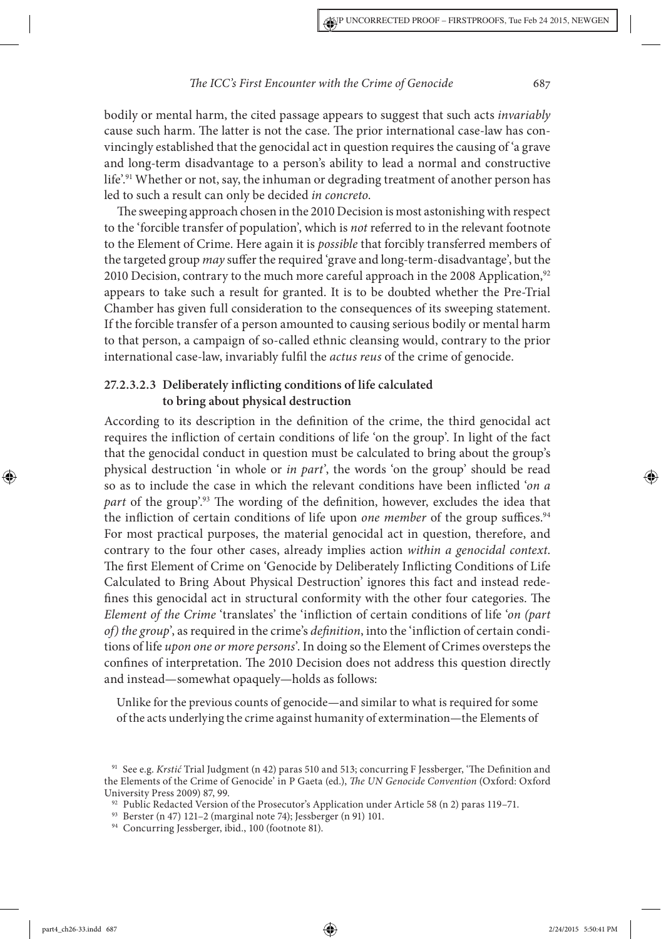bodily or mental harm, the cited passage appears to suggest that such acts *invariably* cause such harm. The latter is not the case. The prior international case-law has convincingly established that the genocidal act in question requires the causing of 'a grave and long-term disadvantage to a person's ability to lead a normal and constructive life'.<sup>91</sup> Whether or not, say, the inhuman or degrading treatment of another person has led to such a result can only be decided *in concreto*.

The sweeping approach chosen in the 2010 Decision is most astonishing with respect to the 'forcible transfer of population', which is *not* referred to in the relevant footnote to the Element of Crime. Here again it is *possible* that forcibly transferred members of the targeted group *may* suffer the required 'grave and long-term-disadvantage', but the 2010 Decision, contrary to the much more careful approach in the 2008 Application,<sup>92</sup> appears to take such a result for granted. It is to be doubted whether the Pre-Trial Chamber has given full consideration to the consequences of its sweeping statement. If the forcible transfer of a person amounted to causing serious bodily or mental harm to that person, a campaign of so-called ethnic cleansing would, contrary to the prior international case-law, invariably fulfil the *actus reus* of the crime of genocide.

## **27.2.3.2.3 Deliberately inflicting conditions of life calculated to bring about physical destruction**

According to its description in the definition of the crime, the third genocidal act requires the infliction of certain conditions of life 'on the group'. In light of the fact that the genocidal conduct in question must be calculated to bring about the group's physical destruction 'in whole or *in part*', the words 'on the group' should be read so as to include the case in which the relevant conditions have been inflicted '*on a part* of the group'.<sup>93</sup> The wording of the definition, however, excludes the idea that the infliction of certain conditions of life upon *one member* of the group suffices.94 For most practical purposes, the material genocidal act in question, therefore, and contrary to the four other cases, already implies action *within a genocidal context*. The first Element of Crime on 'Genocide by Deliberately Inflicting Conditions of Life Calculated to Bring About Physical Destruction' ignores this fact and instead redefines this genocidal act in structural conformity with the other four categories. The *Element of the Crime* 'translates' the 'infliction of certain conditions of life '*on (part of) the group*', as required in the crime's *definition*, into the 'infliction of certain conditions of life *upon one or more persons*'. In doing so the Element of Crimes oversteps the confines of interpretation. The 2010 Decision does not address this question directly and instead—somewhat opaquely—holds as follows:

Unlike for the previous counts of genocide—and similar to what is required for some of the acts underlying the crime against humanity of extermination—the Elements of

⊕

part4\_ch26-33.indd 687 2/24/2015 5:50:41 PM

<sup>91</sup> See e.g. *Krstić* Trial Judgment (n 42) paras 510 and 513; concurring F Jessberger, 'The Definition and the Elements of the Crime of Genocide' in P Gaeta (ed.), *The UN Genocide Convention* (Oxford: Oxford University Press 2009) 87, 99.

<sup>92</sup> Public Redacted Version of the Prosecutor's Application under Article 58 (n 2) paras 119–71.

<sup>&</sup>lt;sup>93</sup> Berster (n 47) 121–2 (marginal note 74); Jessberger (n 91) 101.

<sup>&</sup>lt;sup>94</sup> Concurring Jessberger, ibid., 100 (footnote 81).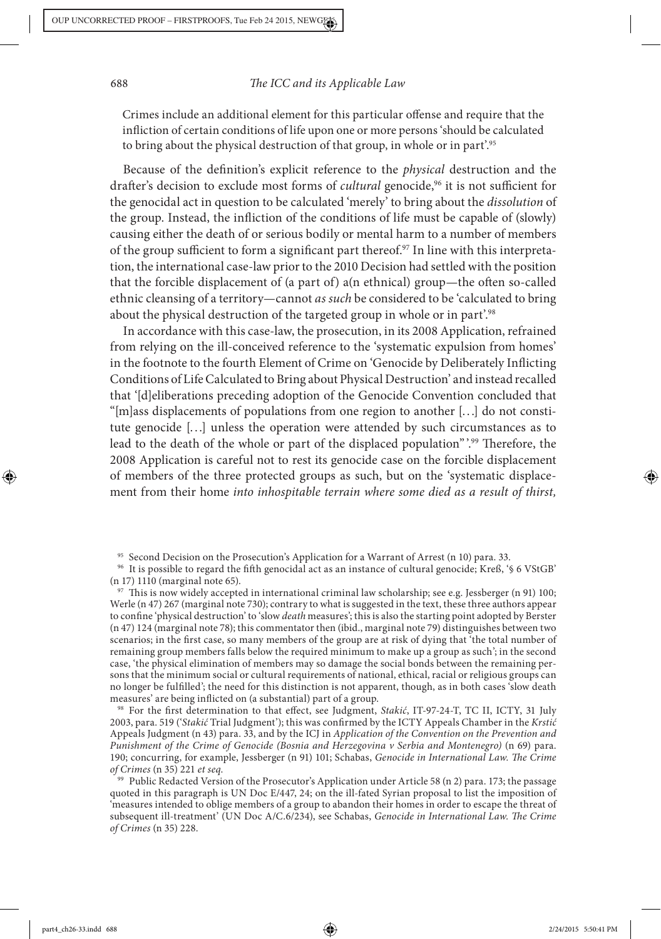Crimes include an additional element for this particular offense and require that the infliction of certain conditions of life upon one or more persons 'should be calculated to bring about the physical destruction of that group, in whole or in part'.<sup>95</sup>

Because of the definition's explicit reference to the *physical* destruction and the drafter's decision to exclude most forms of *cultural* genocide,96 it is not sufficient for the genocidal act in question to be calculated 'merely' to bring about the *dissolution* of the group. Instead, the infliction of the conditions of life must be capable of (slowly) causing either the death of or serious bodily or mental harm to a number of members of the group sufficient to form a significant part thereof.97 In line with this interpretation, the international case-law prior to the 2010 Decision had settled with the position that the forcible displacement of (a part of) a(n ethnical) group—the often so-called ethnic cleansing of a territory—cannot *as such* be considered to be 'calculated to bring about the physical destruction of the targeted group in whole or in part'.<sup>98</sup>

In accordance with this case-law, the prosecution, in its 2008 Application, refrained from relying on the ill-conceived reference to the 'systematic expulsion from homes' in the footnote to the fourth Element of Crime on 'Genocide by Deliberately Inflicting Conditions of Life Calculated to Bring about Physical Destruction' and instead recalled that '[d]eliberations preceding adoption of the Genocide Convention concluded that "[m]ass displacements of populations from one region to another  $[...]$  do not constitute genocide [. . .] unless the operation were attended by such circumstances as to lead to the death of the whole or part of the displaced population" '.99 Therefore, the 2008 Application is careful not to rest its genocide case on the forcible displacement of members of the three protected groups as such, but on the 'systematic displacement from their home *into inhospitable terrain where some died as a result of thirst,* 

<sup>98</sup> For the first determination to that effect, see Judgment, *Stakić*, IT-97-24-T, TC II, ICTY, 31 July 2003, para. 519 ('*Stakić* Trial Judgment'); this was confirmed by the ICTY Appeals Chamber in the *Krstić* Appeals Judgment (n 43) para. 33, and by the ICJ in *Application of the Convention on the Prevention and Punishment of the Crime of Genocide (Bosnia and Herzegovina v Serbia and Montenegro)* (n 69) para. 190; concurring, for example, Jessberger (n 91) 101; Schabas, *Genocide in International Law. The Crime of Crimes* (n 35) 221 *et seq*.

<sup>99</sup> Public Redacted Version of the Prosecutor's Application under Article 58 (n 2) para. 173; the passage quoted in this paragraph is UN Doc E/447, 24; on the ill-fated Syrian proposal to list the imposition of 'measures intended to oblige members of a group to abandon their homes in order to escape the threat of subsequent ill-treatment' (UN Doc A/C.6/234), see Schabas, *Genocide in International Law. The Crime of Crimes* (n 35) 228.

 $\bigoplus$ 

<sup>&</sup>lt;sup>95</sup> Second Decision on the Prosecution's Application for a Warrant of Arrest (n 10) para. 33.

<sup>96</sup> It is possible to regard the fifth genocidal act as an instance of cultural genocide; Kreß, '§ 6 VStGB' (n 17) 1110 (marginal note 65).

<sup>97</sup> This is now widely accepted in international criminal law scholarship; see e.g. Jessberger (n 91) 100; Werle (n 47) 267 (marginal note 730); contrary to what is suggested in the text, these three authors appear to confine 'physical destruction' to 'slow *death* measures'; this is also the starting point adopted by Berster (n 47) 124 (marginal note 78); this commentator then (ibid., marginal note 79) distinguishes between two scenarios; in the first case, so many members of the group are at risk of dying that 'the total number of remaining group members falls below the required minimum to make up a group as such'; in the second case, 'the physical elimination of members may so damage the social bonds between the remaining persons that the minimum social or cultural requirements of national, ethical, racial or religious groups can no longer be fulfilled'; the need for this distinction is not apparent, though, as in both cases 'slow death measures' are being inflicted on (a substantial) part of a group.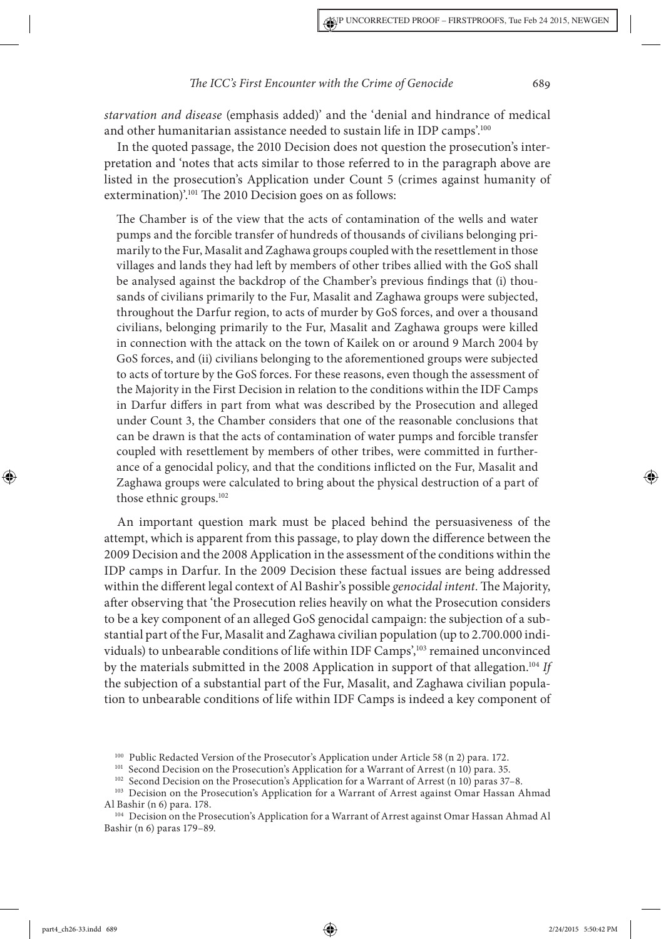*starvation and disease* (emphasis added)' and the 'denial and hindrance of medical and other humanitarian assistance needed to sustain life in IDP camps'.100

In the quoted passage, the 2010 Decision does not question the prosecution's interpretation and 'notes that acts similar to those referred to in the paragraph above are listed in the prosecution's Application under Count 5 (crimes against humanity of extermination)'.<sup>101</sup> The 2010 Decision goes on as follows:

The Chamber is of the view that the acts of contamination of the wells and water pumps and the forcible transfer of hundreds of thousands of civilians belonging primarily to the Fur, Masalit and Zaghawa groups coupled with the resettlement in those villages and lands they had left by members of other tribes allied with the GoS shall be analysed against the backdrop of the Chamber's previous findings that (i) thousands of civilians primarily to the Fur, Masalit and Zaghawa groups were subjected, throughout the Darfur region, to acts of murder by GoS forces, and over a thousand civilians, belonging primarily to the Fur, Masalit and Zaghawa groups were killed in connection with the attack on the town of Kailek on or around 9 March 2004 by GoS forces, and (ii) civilians belonging to the aforementioned groups were subjected to acts of torture by the GoS forces. For these reasons, even though the assessment of the Majority in the First Decision in relation to the conditions within the IDF Camps in Darfur differs in part from what was described by the Prosecution and alleged under Count 3, the Chamber considers that one of the reasonable conclusions that can be drawn is that the acts of contamination of water pumps and forcible transfer coupled with resettlement by members of other tribes, were committed in furtherance of a genocidal policy, and that the conditions inflicted on the Fur, Masalit and Zaghawa groups were calculated to bring about the physical destruction of a part of those ethnic groups.102

An important question mark must be placed behind the persuasiveness of the attempt, which is apparent from this passage, to play down the difference between the 2009 Decision and the 2008 Application in the assessment of the conditions within the IDP camps in Darfur. In the 2009 Decision these factual issues are being addressed within the different legal context of Al Bashir's possible *genocidal intent*. The Majority, after observing that 'the Prosecution relies heavily on what the Prosecution considers to be a key component of an alleged GoS genocidal campaign: the subjection of a substantial part of the Fur, Masalit and Zaghawa civilian population (up to 2.700.000 individuals) to unbearable conditions of life within IDF Camps',103 remained unconvinced by the materials submitted in the 2008 Application in support of that allegation.104 *If* the subjection of a substantial part of the Fur, Masalit, and Zaghawa civilian population to unbearable conditions of life within IDF Camps is indeed a key component of

⊕

<sup>&</sup>lt;sup>100</sup> Public Redacted Version of the Prosecutor's Application under Article 58 (n 2) para. 172.

<sup>&</sup>lt;sup>101</sup> Second Decision on the Prosecution's Application for a Warrant of Arrest (n 10) para. 35.

<sup>102</sup> Second Decision on the Prosecution's Application for a Warrant of Arrest (n 10) paras 37-8.

<sup>&</sup>lt;sup>103</sup> Decision on the Prosecution's Application for a Warrant of Arrest against Omar Hassan Ahmad Al Bashir (n 6) para. 178.

<sup>&</sup>lt;sup>104</sup> Decision on the Prosecution's Application for a Warrant of Arrest against Omar Hassan Ahmad Al Bashir (n 6) paras 179–89.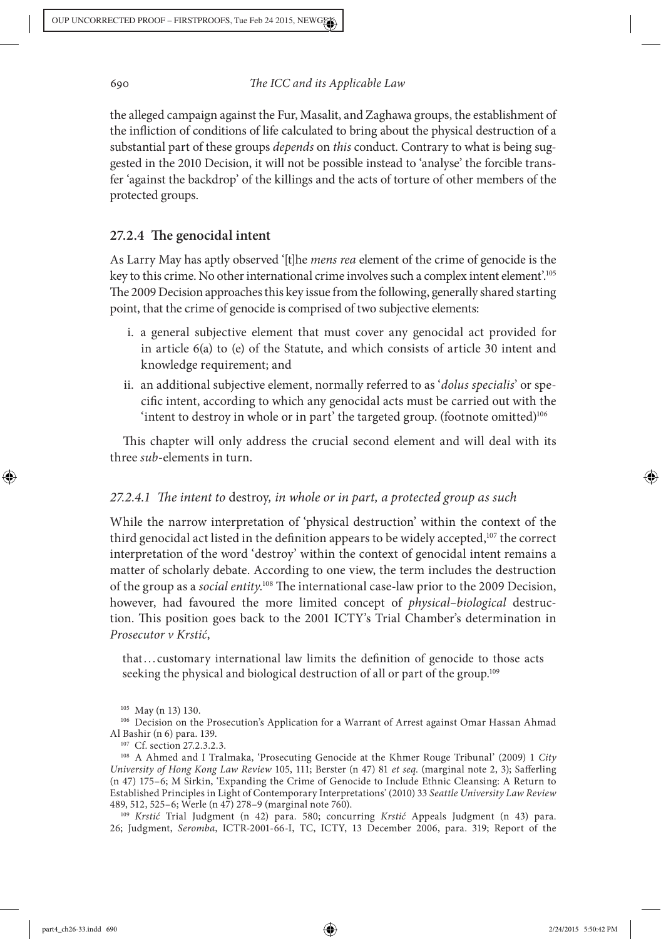the alleged campaign against the Fur, Masalit, and Zaghawa groups, the establishment of the infliction of conditions of life calculated to bring about the physical destruction of a substantial part of these groups *depends* on *this* conduct. Contrary to what is being suggested in the 2010 Decision, it will not be possible instead to 'analyse' the forcible transfer 'against the backdrop' of the killings and the acts of torture of other members of the protected groups.

## **27.2.4 The genocidal intent**

As Larry May has aptly observed '[t]he *mens rea* element of the crime of genocide is the key to this crime. No other international crime involves such a complex intent element'.105 The 2009 Decision approaches this key issue from the following, generally shared starting point, that the crime of genocide is comprised of two subjective elements:

- i. a general subjective element that must cover any genocidal act provided for in article 6(a) to (e) of the Statute, and which consists of article 30 intent and knowledge requirement; and
- ii. an additional subjective element, normally referred to as '*dolus specialis*' or specific intent, according to which any genocidal acts must be carried out with the 'intent to destroy in whole or in part' the targeted group. (footnote omitted)106

This chapter will only address the crucial second element and will deal with its three *sub*-elements in turn.

## *27.2.4.1 The intent to* destroy*, in whole or in part, a protected group as such*

While the narrow interpretation of 'physical destruction' within the context of the third genocidal act listed in the definition appears to be widely accepted,<sup>107</sup> the correct interpretation of the word 'destroy' within the context of genocidal intent remains a matter of scholarly debate. According to one view, the term includes the destruction of the group as a *social entity*. 108 The international case-law prior to the 2009 Decision, however, had favoured the more limited concept of *physical–biological* destruction. This position goes back to the 2001 ICTY's Trial Chamber's determination in *Prosecutor v Krstić*,

that. . . customary international law limits the definition of genocide to those acts seeking the physical and biological destruction of all or part of the group.<sup>109</sup>

<sup>109</sup> *Krstić* Trial Judgment (n 42) para. 580; concurring *Krstić* Appeals Judgment (n 43) para. 26; Judgment, *Seromba*, ICTR-2001-66-I, TC, ICTY, 13 December 2006, para. 319; Report of the

⊕

<sup>105</sup> May (n 13) 130.

<sup>&</sup>lt;sup>106</sup> Decision on the Prosecution's Application for a Warrant of Arrest against Omar Hassan Ahmad Al Bashir (n 6) para. 139.

<sup>&</sup>lt;sup>107</sup> Cf. section 27.2.3.2.3.

<sup>108</sup> A Ahmed and I Tralmaka, 'Prosecuting Genocide at the Khmer Rouge Tribunal' (2009) 1 *City University of Hong Kong Law Review* 105, 111; Berster (n 47) 81 *et seq*. (marginal note 2, 3); Safferling (n 47) 175–6; M Sirkin, 'Expanding the Crime of Genocide to Include Ethnic Cleansing: A Return to Established Principles in Light of Contemporary Interpretations' (2010) 33 *Seattle University Law Review* 489, 512, 525–6; Werle (n 47) 278–9 (marginal note 760).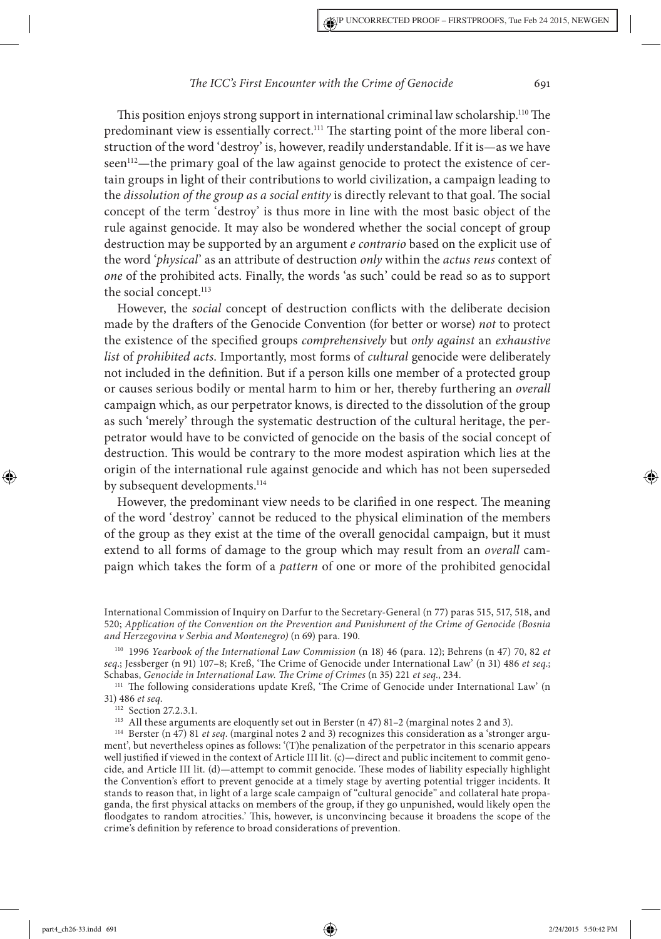This position enjoys strong support in international criminal law scholarship.110 The predominant view is essentially correct.<sup>111</sup> The starting point of the more liberal construction of the word 'destroy' is, however, readily understandable. If it is—as we have seen<sup>112</sup>—the primary goal of the law against genocide to protect the existence of certain groups in light of their contributions to world civilization, a campaign leading to the *dissolution of the group as a social entity* is directly relevant to that goal. The social concept of the term 'destroy' is thus more in line with the most basic object of the rule against genocide. It may also be wondered whether the social concept of group destruction may be supported by an argument *e contrario* based on the explicit use of the word '*physical*' as an attribute of destruction *only* within the *actus reus* context of *one* of the prohibited acts. Finally, the words 'as such' could be read so as to support the social concept.<sup>113</sup>

However, the *social* concept of destruction conflicts with the deliberate decision made by the drafters of the Genocide Convention (for better or worse) *not* to protect the existence of the specified groups *comprehensively* but *only against* an *exhaustive list* of *prohibited acts*. Importantly, most forms of *cultural* genocide were deliberately not included in the definition. But if a person kills one member of a protected group or causes serious bodily or mental harm to him or her, thereby furthering an *overall* campaign which, as our perpetrator knows, is directed to the dissolution of the group as such 'merely' through the systematic destruction of the cultural heritage, the perpetrator would have to be convicted of genocide on the basis of the social concept of destruction. This would be contrary to the more modest aspiration which lies at the origin of the international rule against genocide and which has not been superseded by subsequent developments.<sup>114</sup>

However, the predominant view needs to be clarified in one respect. The meaning of the word 'destroy' cannot be reduced to the physical elimination of the members of the group as they exist at the time of the overall genocidal campaign, but it must extend to all forms of damage to the group which may result from an *overall* campaign which takes the form of a *pattern* of one or more of the prohibited genocidal

<sup>113</sup> All these arguments are eloquently set out in Berster (n 47) 81–2 (marginal notes 2 and 3).

⊕

International Commission of Inquiry on Darfur to the Secretary-General (n 77) paras 515, 517, 518, and 520; *Application of the Convention on the Prevention and Punishment of the Crime of Genocide (Bosnia and Herzegovina v Serbia and Montenegro)* (n 69) para. 190.

<sup>110</sup> 1996 *Yearbook of the International Law Commission* (n 18) 46 (para. 12); Behrens (n 47) 70, 82 *et seq*.; Jessberger (n 91) 107–8; Kreß, 'The Crime of Genocide under International Law' (n 31) 486 *et seq*.; Schabas, *Genocide in International Law. The Crime of Crimes* (n 35) 221 *et seq*., 234.

<sup>111</sup> The following considerations update Kreß, 'The Crime of Genocide under International Law' (n 31) 486 *et seq*.

<sup>112</sup> Section 27.2.3.1.

<sup>114</sup> Berster (n 47) 81 *et seq*. (marginal notes 2 and 3) recognizes this consideration as a 'stronger argument', but nevertheless opines as follows: '(T)he penalization of the perpetrator in this scenario appears well justified if viewed in the context of Article III lit. (c)—direct and public incitement to commit genocide, and Article III lit. (d)—attempt to commit genocide. These modes of liability especially highlight the Convention's effort to prevent genocide at a timely stage by averting potential trigger incidents. It stands to reason that, in light of a large scale campaign of "cultural genocide" and collateral hate propaganda, the first physical attacks on members of the group, if they go unpunished, would likely open the floodgates to random atrocities.' This, however, is unconvincing because it broadens the scope of the crime's definition by reference to broad considerations of prevention.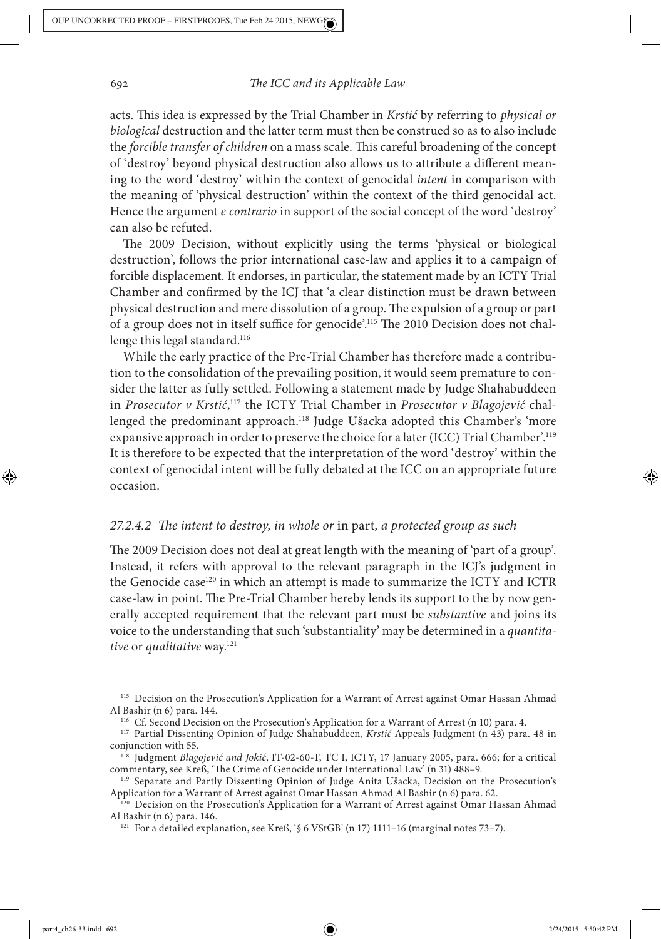acts. This idea is expressed by the Trial Chamber in *Krstić* by referring to *physical or biological* destruction and the latter term must then be construed so as to also include the *forcible transfer of children* on a mass scale. This careful broadening of the concept of 'destroy' beyond physical destruction also allows us to attribute a different meaning to the word 'destroy' within the context of genocidal *intent* in comparison with the meaning of 'physical destruction' within the context of the third genocidal act. Hence the argument *e contrario* in support of the social concept of the word 'destroy' can also be refuted.

The 2009 Decision, without explicitly using the terms 'physical or biological destruction', follows the prior international case-law and applies it to a campaign of forcible displacement. It endorses, in particular, the statement made by an ICTY Trial Chamber and confirmed by the ICJ that 'a clear distinction must be drawn between physical destruction and mere dissolution of a group. The expulsion of a group or part of a group does not in itself suffice for genocide'.115 The 2010 Decision does not challenge this legal standard.<sup>116</sup>

While the early practice of the Pre-Trial Chamber has therefore made a contribution to the consolidation of the prevailing position, it would seem premature to consider the latter as fully settled. Following a statement made by Judge Shahabuddeen in *Prosecutor v Krstić*, 117 the ICTY Trial Chamber in *Prosecutor v Blagojević* challenged the predominant approach.<sup>118</sup> Judge Ušacka adopted this Chamber's 'more expansive approach in order to preserve the choice for a later (ICC) Trial Chamber'.119 It is therefore to be expected that the interpretation of the word 'destroy' within the context of genocidal intent will be fully debated at the ICC on an appropriate future occasion.

## *27.2.4.2 The intent to destroy, in whole or* in part*, a protected group as such*

The 2009 Decision does not deal at great length with the meaning of 'part of a group'. Instead, it refers with approval to the relevant paragraph in the ICJ's judgment in the Genocide case<sup>120</sup> in which an attempt is made to summarize the ICTY and ICTR case-law in point. The Pre-Trial Chamber hereby lends its support to the by now generally accepted requirement that the relevant part must be *substantive* and joins its voice to the understanding that such 'substantiality' may be determined in a *quantitative* or *qualitative* way.121

<sup>115</sup> Decision on the Prosecution's Application for a Warrant of Arrest against Omar Hassan Ahmad Al Bashir (n 6) para. 144.

<sup>116</sup> Cf. Second Decision on the Prosecution's Application for a Warrant of Arrest (n 10) para. 4.

⊕

<sup>117</sup> Partial Dissenting Opinion of Judge Shahabuddeen, *Krstić* Appeals Judgment (n 43) para. 48 in conjunction with 55.

<sup>&</sup>lt;sup>118</sup> Judgment *Blagojević and Jokić*, IT-02-60-T, TC I, ICTY, 17 January 2005, para. 666; for a critical commentary, see Kreß, 'The Crime of Genocide under International Law' (n 31) 488–9.

<sup>&</sup>lt;sup>119</sup> Separate and Partly Dissenting Opinion of Judge Anita Ušacka, Decision on the Prosecution's Application for a Warrant of Arrest against Omar Hassan Ahmad Al Bashir (n 6) para. 62.

<sup>&</sup>lt;sup>20</sup> Decision on the Prosecution's Application for a Warrant of Arrest against Omar Hassan Ahmad Al Bashir (n 6) para. 146.

<sup>&</sup>lt;sup>121</sup> For a detailed explanation, see Kreß, '§ 6 VStGB' (n 17) 1111–16 (marginal notes 73–7).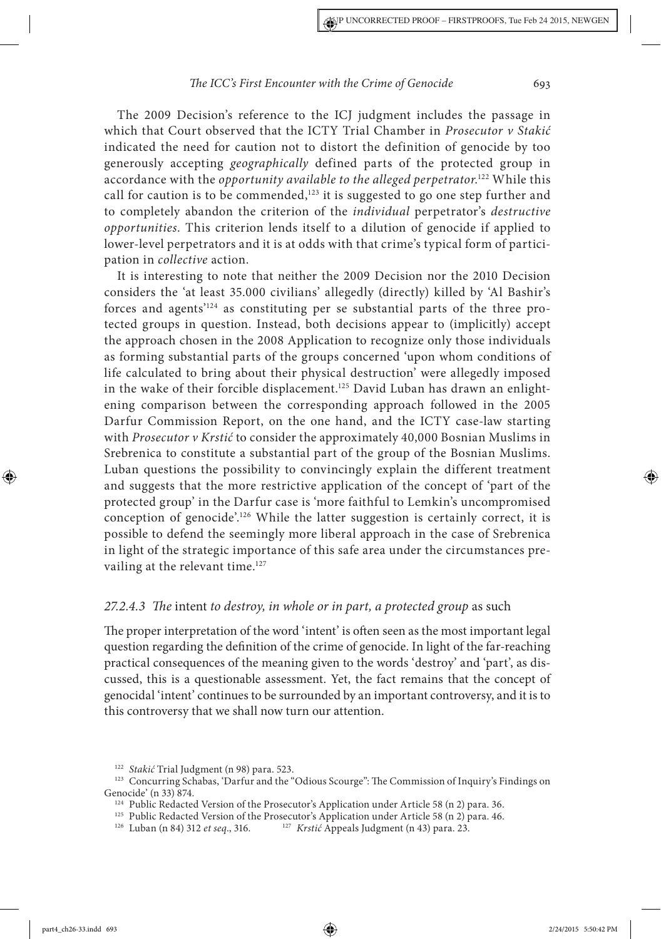The 2009 Decision's reference to the ICJ judgment includes the passage in which that Court observed that the ICTY Trial Chamber in *Prosecutor v Stakić* indicated the need for caution not to distort the definition of genocide by too generously accepting *geographically* defined parts of the protected group in accordance with the *opportunity available to the alleged perpetrator*. 122 While this call for caution is to be commended,<sup>123</sup> it is suggested to go one step further and to completely abandon the criterion of the *individual* perpetrator's *destructive opportunities*. This criterion lends itself to a dilution of genocide if applied to lower-level perpetrators and it is at odds with that crime's typical form of participation in *collective* action.

It is interesting to note that neither the 2009 Decision nor the 2010 Decision considers the 'at least 35.000 civilians' allegedly (directly) killed by 'Al Bashir's forces and agents'124 as constituting per se substantial parts of the three protected groups in question. Instead, both decisions appear to (implicitly) accept the approach chosen in the 2008 Application to recognize only those individuals as forming substantial parts of the groups concerned 'upon whom conditions of life calculated to bring about their physical destruction' were allegedly imposed in the wake of their forcible displacement.<sup>125</sup> David Luban has drawn an enlightening comparison between the corresponding approach followed in the 2005 Darfur Commission Report, on the one hand, and the ICTY case-law starting with *Prosecutor v Krstić* to consider the approximately 40,000 Bosnian Muslims in Srebrenica to constitute a substantial part of the group of the Bosnian Muslims. Luban questions the possibility to convincingly explain the different treatment and suggests that the more restrictive application of the concept of 'part of the protected group' in the Darfur case is 'more faithful to Lemkin's uncompromised conception of genocide'.126 While the latter suggestion is certainly correct, it is possible to defend the seemingly more liberal approach in the case of Srebrenica in light of the strategic importance of this safe area under the circumstances prevailing at the relevant time.<sup>127</sup>

## *27.2.4.3 The* intent *to destroy, in whole or in part, a protected group* as such

The proper interpretation of the word 'intent' is often seen as the most important legal question regarding the definition of the crime of genocide. In light of the far-reaching practical consequences of the meaning given to the words 'destroy' and 'part', as discussed, this is a questionable assessment. Yet, the fact remains that the concept of genocidal 'intent' continues to be surrounded by an important controversy, and it is to this controversy that we shall now turn our attention.

⊕

<sup>122</sup> *Stakić* Trial Judgment (n 98) para. 523.

<sup>&</sup>lt;sup>123</sup> Concurring Schabas, 'Darfur and the "Odious Scourge": The Commission of Inquiry's Findings on Genocide' (n 33) 874.

<sup>&</sup>lt;sup>124</sup> Public Redacted Version of the Prosecutor's Application under Article 58 (n 2) para. 36.

<sup>&</sup>lt;sup>125</sup> Public Redacted Version of the Prosecutor's Application under Article 58 (n 2) para. 46.

<sup>126</sup> Luban (n 84) 312 *et seq*., 316. <sup>127</sup> *Krstić* Appeals Judgment (n 43) para. 23.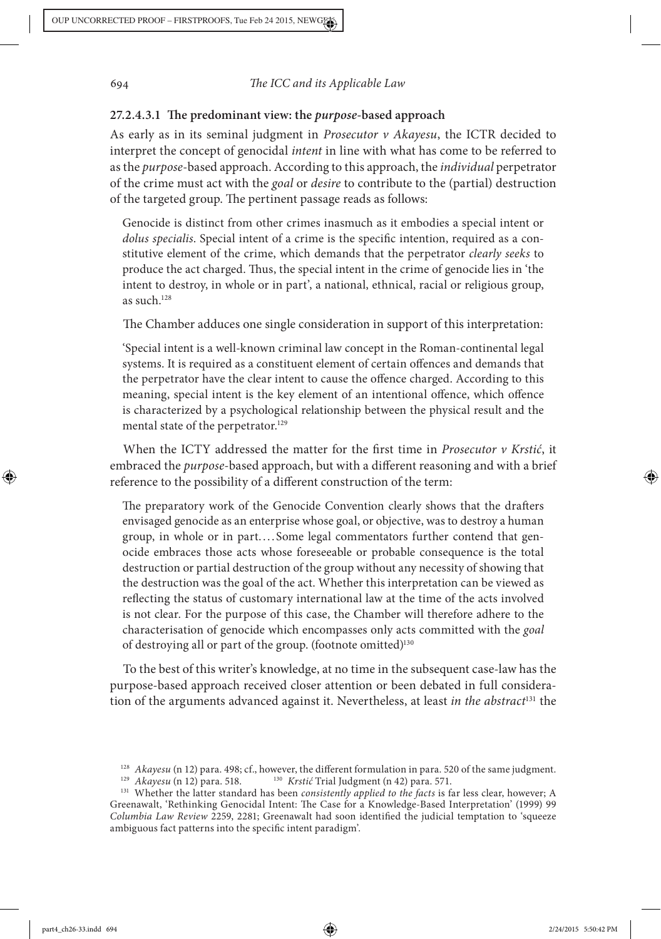#### **27.2.4.3.1 The predominant view: the** *purpose***-based approach**

As early as in its seminal judgment in *Prosecutor v Akayesu*, the ICTR decided to interpret the concept of genocidal *intent* in line with what has come to be referred to as the *purpose*-based approach. According to this approach, the *individual* perpetrator of the crime must act with the *goal* or *desire* to contribute to the (partial) destruction of the targeted group. The pertinent passage reads as follows:

Genocide is distinct from other crimes inasmuch as it embodies a special intent or *dolus specialis*. Special intent of a crime is the specific intention, required as a constitutive element of the crime, which demands that the perpetrator *clearly seeks* to produce the act charged. Thus, the special intent in the crime of genocide lies in 'the intent to destroy, in whole or in part', a national, ethnical, racial or religious group, as such.128

The Chamber adduces one single consideration in support of this interpretation:

'Special intent is a well-known criminal law concept in the Roman-continental legal systems. It is required as a constituent element of certain offences and demands that the perpetrator have the clear intent to cause the offence charged. According to this meaning, special intent is the key element of an intentional offence, which offence is characterized by a psychological relationship between the physical result and the mental state of the perpetrator.<sup>129</sup>

When the ICTY addressed the matter for the first time in *Prosecutor v Krstić*, it embraced the *purpose*-based approach, but with a different reasoning and with a brief reference to the possibility of a different construction of the term:

The preparatory work of the Genocide Convention clearly shows that the drafters envisaged genocide as an enterprise whose goal, or objective, was to destroy a human group, in whole or in part....Some legal commentators further contend that genocide embraces those acts whose foreseeable or probable consequence is the total destruction or partial destruction of the group without any necessity of showing that the destruction was the goal of the act. Whether this interpretation can be viewed as reflecting the status of customary international law at the time of the acts involved is not clear. For the purpose of this case, the Chamber will therefore adhere to the characterisation of genocide which encompasses only acts committed with the *goal* of destroying all or part of the group. (footnote omitted)<sup>130</sup>

To the best of this writer's knowledge, at no time in the subsequent case-law has the purpose-based approach received closer attention or been debated in full consideration of the arguments advanced against it. Nevertheless, at least *in the abstract*131 the

⊕

<sup>&</sup>lt;sup>128</sup> *Akayesu* (n 12) para. 498; cf., however, the different formulation in para. 520 of the same judgment.<br><sup>129</sup> *Akayesu* (n 12) para. 518. <sup>130</sup> *Krstić* Trial Judgment (n 42) para. 571.

<sup>&</sup>lt;sup>130</sup> *Krstić* Trial Judgment (n 42) para. 571.

<sup>131</sup> Whether the latter standard has been *consistently applied to the facts* is far less clear, however; A Greenawalt, 'Rethinking Genocidal Intent: The Case for a Knowledge-Based Interpretation' (1999) 99 *Columbia Law Review* 2259, 2281; Greenawalt had soon identified the judicial temptation to 'squeeze ambiguous fact patterns into the specific intent paradigm'.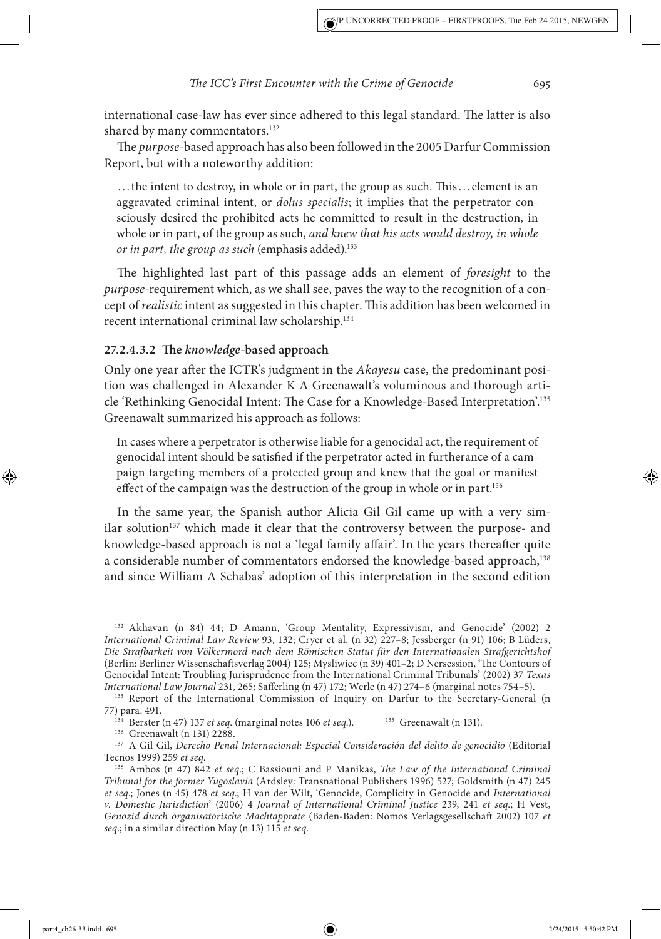international case-law has ever since adhered to this legal standard. The latter is also shared by many commentators.<sup>132</sup>

The *purpose*-based approach has also been followed in the 2005 Darfur Commission Report, but with a noteworthy addition:

. . .the intent to destroy, in whole or in part, the group as such. This. . . element is an aggravated criminal intent, or *dolus specialis*; it implies that the perpetrator consciously desired the prohibited acts he committed to result in the destruction, in whole or in part, of the group as such, *and knew that his acts would destroy, in whole or in part, the group as such* (emphasis added).<sup>133</sup>

The highlighted last part of this passage adds an element of *foresight* to the *purpose*-requirement which, as we shall see, paves the way to the recognition of a concept of *realistic* intent as suggested in this chapter. This addition has been welcomed in recent international criminal law scholarship.134

#### **27.2.4.3.2 The** *knowledge***-based approach**

Only one year after the ICTR's judgment in the *Akayesu* case, the predominant position was challenged in Alexander K A Greenawalt's voluminous and thorough article 'Rethinking Genocidal Intent: The Case for a Knowledge-Based Interpretation'.135 Greenawalt summarized his approach as follows:

In cases where a perpetrator is otherwise liable for a genocidal act, the requirement of genocidal intent should be satisfied if the perpetrator acted in furtherance of a campaign targeting members of a protected group and knew that the goal or manifest effect of the campaign was the destruction of the group in whole or in part.<sup>136</sup>

In the same year, the Spanish author Alicia Gil Gil came up with a very similar solution<sup>137</sup> which made it clear that the controversy between the purpose- and knowledge-based approach is not a 'legal family affair'. In the years thereafter quite a considerable number of commentators endorsed the knowledge-based approach,138 and since William A Schabas' adoption of this interpretation in the second edition

<sup>132</sup> Akhavan (n 84) 44; D Amann, 'Group Mentality, Expressivism, and Genocide' (2002) 2 *International Criminal Law Review* 93, 132; Cryer et al. (n 32) 227–8; Jessberger (n 91) 106; B Lüders, *Die Strafbarkeit von Völkermord nach dem Römischen Statut für den Internationalen Strafgerichtshof* (Berlin: Berliner Wissenschaftsverlag 2004) 125; Mysliwiec (n 39) 401–2; D Nersession, 'The Contours of Genocidal Intent: Troubling Jurisprudence from the International Criminal Tribunals' (2002) 37 *Texas International Law Journal* 231, 265; Safferling (n 47) 172; Werle (n 47) 274–6 (marginal notes 754–5).

133 Report of the International Commission of Inquiry on Darfur to the Secretary-General (n 77) para. 491.

<sup>134</sup> Berster (n 47) 137 *et seq*. (marginal notes 106 *et seq.*). <sup>135</sup> Greenawalt (n 131).

<sup>136</sup> Greenawalt (n 131) 2288.

<sup>137</sup> A Gil Gil, *Derecho Penal Internacional: Especial Consideración del delito de genocidio* (Editorial Tecnos 1999) 259 *et seq*.

<sup>138</sup> Ambos (n 47) 842 *et seq*.; C Bassiouni and P Manikas, *The Law of the International Criminal Tribunal for the former Yugoslavia* (Ardsley: Transnational Publishers 1996) 527; Goldsmith (n 47) 245 *et seq*.; Jones (n 45) 478 *et seq*.; H van der Wilt, 'Genocide, Complicity in Genocide and *International v. Domestic Jurisdiction*' (2006) 4 *Journal of International Criminal Justice* 239, 241 *et seq*.; H Vest, *Genozid durch organisatorische Machtapprate* (Baden-Baden: Nomos Verlagsgesellschaft 2002) 107 *et seq*.; in a similar direction May (n 13) 115 *et seq*.

⊕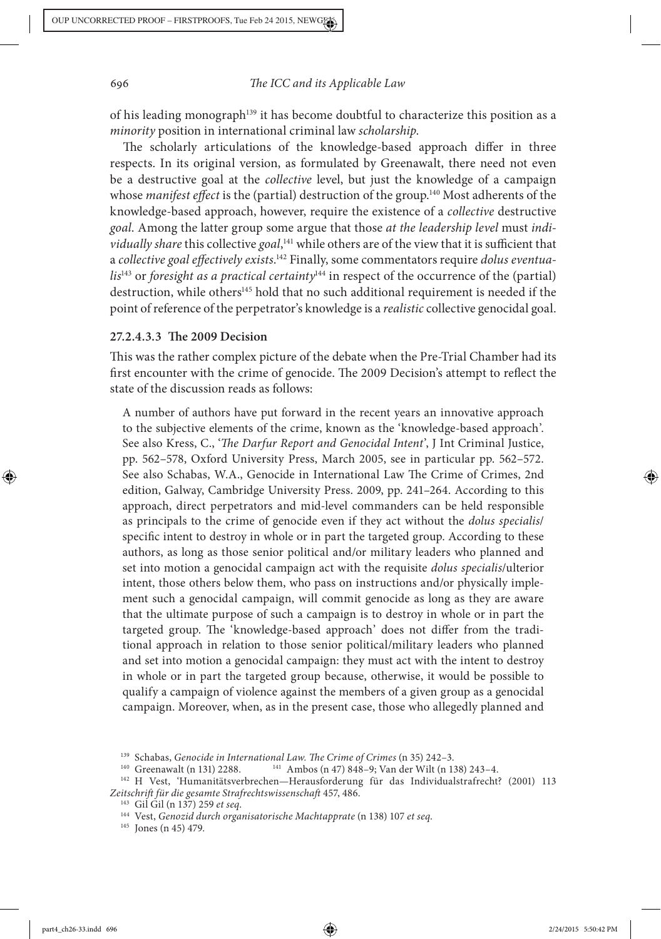of his leading monograph<sup>139</sup> it has become doubtful to characterize this position as a *minority* position in international criminal law *scholarship*.

The scholarly articulations of the knowledge-based approach differ in three respects. In its original version, as formulated by Greenawalt, there need not even be a destructive goal at the *collective* level, but just the knowledge of a campaign whose *manifest effect* is the (partial) destruction of the group.<sup>140</sup> Most adherents of the knowledge-based approach, however, require the existence of a *collective* destructive *goal*. Among the latter group some argue that those *at the leadership level* must *individually share* this collective *goal*, 141 while others are of the view that it is sufficient that a *collective goal effectively exists*. 142 Finally, some commentators require *dolus eventualis*<sup>143</sup> or *foresight as a practical certainty*<sup>144</sup> in respect of the occurrence of the (partial) destruction, while others<sup>145</sup> hold that no such additional requirement is needed if the point of reference of the perpetrator's knowledge is a *realistic* collective genocidal goal.

## **27.2.4.3.3 The 2009 Decision**

This was the rather complex picture of the debate when the Pre-Trial Chamber had its first encounter with the crime of genocide. The 2009 Decision's attempt to reflect the state of the discussion reads as follows:

A number of authors have put forward in the recent years an innovative approach to the subjective elements of the crime, known as the 'knowledge-based approach'. See also Kress, C., '*The Darfur Report and Genocidal Intent*', J Int Criminal Justice, pp. 562–578, Oxford University Press, March 2005, see in particular pp. 562–572. See also Schabas, W.A., Genocide in International Law The Crime of Crimes, 2nd edition, Galway, Cambridge University Press. 2009, pp. 241–264. According to this approach, direct perpetrators and mid-level commanders can be held responsible as principals to the crime of genocide even if they act without the *dolus specialis*/ specific intent to destroy in whole or in part the targeted group. According to these authors, as long as those senior political and/or military leaders who planned and set into motion a genocidal campaign act with the requisite *dolus specialis*/ulterior intent, those others below them, who pass on instructions and/or physically implement such a genocidal campaign, will commit genocide as long as they are aware that the ultimate purpose of such a campaign is to destroy in whole or in part the targeted group. The 'knowledge-based approach' does not differ from the traditional approach in relation to those senior political/military leaders who planned and set into motion a genocidal campaign: they must act with the intent to destroy in whole or in part the targeted group because, otherwise, it would be possible to qualify a campaign of violence against the members of a given group as a genocidal campaign. Moreover, when, as in the present case, those who allegedly planned and

<sup>145</sup> Jones (n 45) 479.

⊕

<sup>&</sup>lt;sup>139</sup> Schabas, *Genocide in International Law. The Crime of Crimes* (n 35) 242–3.<br><sup>140</sup> Greenawalt (n 131) 2288. <sup>141</sup> Ambos (n 47) 848–9; Van der Wilt (n 1

<sup>&</sup>lt;sup>141</sup> Ambos (n 47) 848-9; Van der Wilt (n 138) 243-4.

<sup>142</sup> H Vest, 'Humanitätsverbrechen—Herausforderung für das Individualstrafrecht? (2001) 113 *Zeitschrift für die gesamte Strafrechtswissenschaft* 457, 486.

<sup>143</sup> Gil Gil (n 137) 259 *et seq*.

<sup>144</sup> Vest, *Genozid durch organisatorische Machtapprate* (n 138) 107 *et seq*.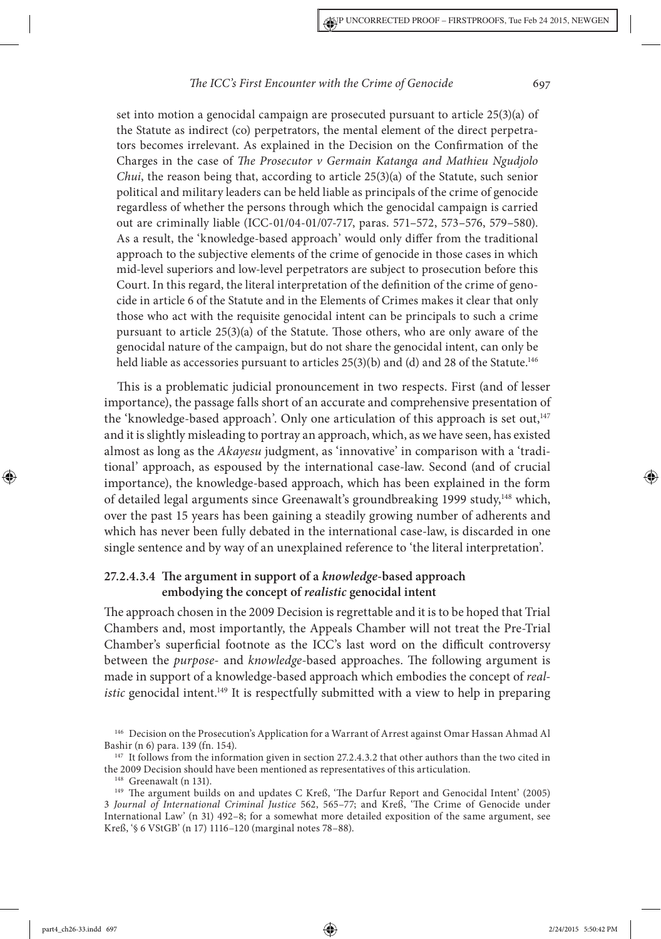set into motion a genocidal campaign are prosecuted pursuant to article 25(3)(a) of the Statute as indirect (co) perpetrators, the mental element of the direct perpetrators becomes irrelevant. As explained in the Decision on the Confirmation of the Charges in the case of *The Prosecutor v Germain Katanga and Mathieu Ngudjolo Chui*, the reason being that, according to article 25(3)(a) of the Statute, such senior political and military leaders can be held liable as principals of the crime of genocide regardless of whether the persons through which the genocidal campaign is carried out are criminally liable (ICC-01/04-01/07-717, paras. 571–572, 573–576, 579–580). As a result, the 'knowledge-based approach' would only differ from the traditional approach to the subjective elements of the crime of genocide in those cases in which mid-level superiors and low-level perpetrators are subject to prosecution before this Court. In this regard, the literal interpretation of the definition of the crime of genocide in article 6 of the Statute and in the Elements of Crimes makes it clear that only those who act with the requisite genocidal intent can be principals to such a crime pursuant to article 25(3)(a) of the Statute. Those others, who are only aware of the genocidal nature of the campaign, but do not share the genocidal intent, can only be held liable as accessories pursuant to articles 25(3)(b) and (d) and 28 of the Statute.<sup>146</sup>

This is a problematic judicial pronouncement in two respects. First (and of lesser importance), the passage falls short of an accurate and comprehensive presentation of the 'knowledge-based approach'. Only one articulation of this approach is set out, $147$ and it is slightly misleading to portray an approach, which, as we have seen, has existed almost as long as the *Akayesu* judgment, as 'innovative' in comparison with a 'traditional' approach, as espoused by the international case-law. Second (and of crucial importance), the knowledge-based approach, which has been explained in the form of detailed legal arguments since Greenawalt's groundbreaking 1999 study,<sup>148</sup> which, over the past 15 years has been gaining a steadily growing number of adherents and which has never been fully debated in the international case-law, is discarded in one single sentence and by way of an unexplained reference to 'the literal interpretation'.

## **27.2.4.3.4 The argument in support of a** *knowledge***-based approach embodying the concept of** *realistic* **genocidal intent**

The approach chosen in the 2009 Decision is regrettable and it is to be hoped that Trial Chambers and, most importantly, the Appeals Chamber will not treat the Pre-Trial Chamber's superficial footnote as the ICC's last word on the difficult controversy between the *purpose*- and *knowledge*-based approaches. The following argument is made in support of a knowledge-based approach which embodies the concept of *realistic* genocidal intent.<sup>149</sup> It is respectfully submitted with a view to help in preparing

⊕

<sup>146</sup> Decision on the Prosecution's Application for a Warrant of Arrest against Omar Hassan Ahmad Al Bashir (n 6) para. 139 (fn. 154).

<sup>&</sup>lt;sup>147</sup> It follows from the information given in section 27.2.4.3.2 that other authors than the two cited in the 2009 Decision should have been mentioned as representatives of this articulation.

<sup>&</sup>lt;sup>148</sup> Greenawalt (n 131).

<sup>&</sup>lt;sup>149</sup> The argument builds on and updates C Kreß, 'The Darfur Report and Genocidal Intent' (2005) 3 *Journal of International Criminal Justice* 562, 565–77; and Kreß, 'The Crime of Genocide under International Law' (n 31) 492–8; for a somewhat more detailed exposition of the same argument, see Kreß, '§ 6 VStGB' (n 17) 1116–120 (marginal notes 78–88).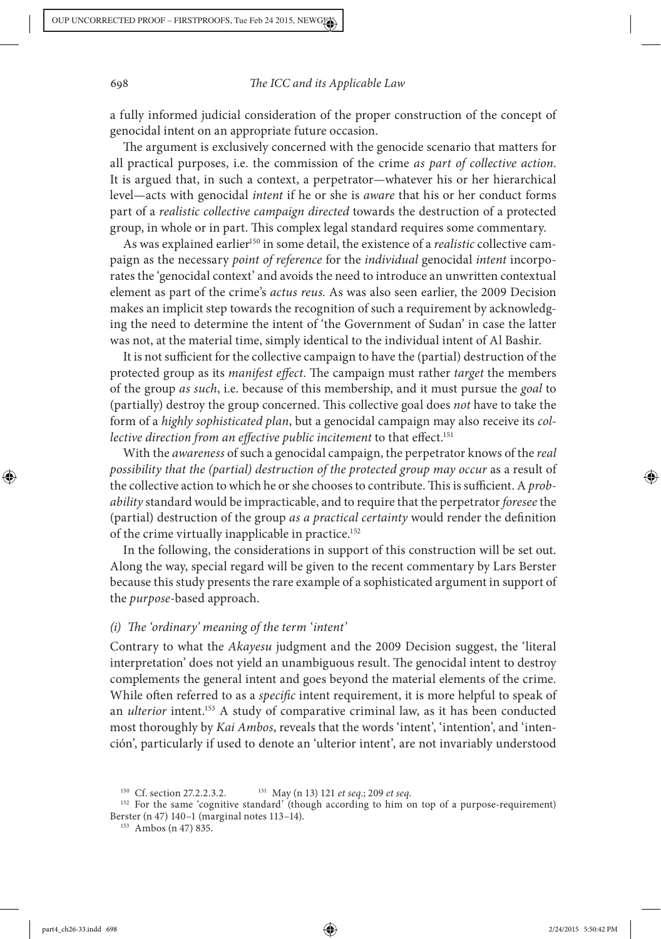a fully informed judicial consideration of the proper construction of the concept of genocidal intent on an appropriate future occasion.

The argument is exclusively concerned with the genocide scenario that matters for all practical purposes, i.e. the commission of the crime *as part of collective action*. It is argued that, in such a context, a perpetrator—whatever his or her hierarchical level—acts with genocidal *intent* if he or she is *aware* that his or her conduct forms part of a *realistic collective campaign directed* towards the destruction of a protected group, in whole or in part. This complex legal standard requires some commentary.

As was explained earlier<sup>150</sup> in some detail, the existence of a *realistic* collective campaign as the necessary *point of reference* for the *individual* genocidal *intent* incorporates the 'genocidal context' and avoids the need to introduce an unwritten contextual element as part of the crime's *actus reus*. As was also seen earlier, the 2009 Decision makes an implicit step towards the recognition of such a requirement by acknowledging the need to determine the intent of 'the Government of Sudan' in case the latter was not, at the material time, simply identical to the individual intent of Al Bashir.

It is not sufficient for the collective campaign to have the (partial) destruction of the protected group as its *manifest effect*. The campaign must rather *target* the members of the group *as such*, i.e. because of this membership, and it must pursue the *goal* to (partially) destroy the group concerned. This collective goal does *not* have to take the form of a *highly sophisticated plan*, but a genocidal campaign may also receive its *collective direction from an effective public incitement* to that effect.<sup>151</sup>

With the *awareness* of such a genocidal campaign, the perpetrator knows of the *real possibility that the (partial) destruction of the protected group may occur* as a result of the collective action to which he or she chooses to contribute. This is sufficient. A *probability* standard would be impracticable, and to require that the perpetrator *foresee* the (partial) destruction of the group *as a practical certainty* would render the definition of the crime virtually inapplicable in practice.152

In the following, the considerations in support of this construction will be set out. Along the way, special regard will be given to the recent commentary by Lars Berster because this study presents the rare example of a sophisticated argument in support of the *purpose*-based approach.

#### *(i) The 'ordinary' meaning of the term 'intent'*

Contrary to what the *Akayesu* judgment and the 2009 Decision suggest, the 'literal interpretation' does not yield an unambiguous result. The genocidal intent to destroy complements the general intent and goes beyond the material elements of the crime. While often referred to as a *specific* intent requirement, it is more helpful to speak of an *ulterior* intent.153 A study of comparative criminal law, as it has been conducted most thoroughly by *Kai Ambos*, reveals that the words 'intent', 'intention', and 'intención', particularly if used to denote an 'ulterior intent', are not invariably understood

<sup>150</sup> Cf. section 27.2.2.3.2. <sup>151</sup> May (n 13) 121 *et seq*.; 209 *et seq*.

<sup>152</sup> For the same 'cognitive standard' (though according to him on top of a purpose-requirement) Berster (n 47) 140–1 (marginal notes 113–14).

<sup>153</sup> Ambos (n 47) 835.

⊕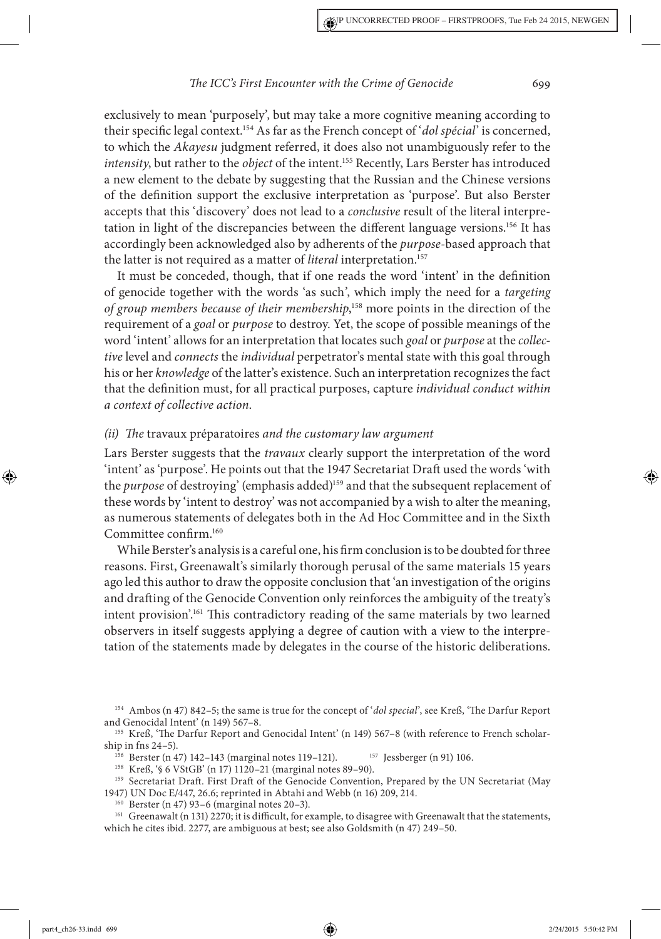exclusively to mean 'purposely', but may take a more cognitive meaning according to their specific legal context.154 As far as the French concept of '*dol spécial*' is concerned, to which the *Akayesu* judgment referred, it does also not unambiguously refer to the *intensity*, but rather to the *object* of the intent.155 Recently, Lars Berster has introduced a new element to the debate by suggesting that the Russian and the Chinese versions of the definition support the exclusive interpretation as 'purpose'. But also Berster accepts that this 'discovery' does not lead to a *conclusive* result of the literal interpretation in light of the discrepancies between the different language versions.156 It has accordingly been acknowledged also by adherents of the *purpose*-based approach that the latter is not required as a matter of *literal* interpretation.157

It must be conceded, though, that if one reads the word 'intent' in the definition of genocide together with the words 'as such', which imply the need for a *targeting of group members because of their membership*, 158 more points in the direction of the requirement of a *goal* or *purpose* to destroy. Yet, the scope of possible meanings of the word 'intent' allows for an interpretation that locates such *goal* or *purpose* at the *collective* level and *connects* the *individual* perpetrator's mental state with this goal through his or her *knowledge* of the latter's existence. Such an interpretation recognizes the fact that the definition must, for all practical purposes, capture *individual conduct within a context of collective action*.

#### *(ii) The* travaux préparatoires *and the customary law argument*

Lars Berster suggests that the *travaux* clearly support the interpretation of the word 'intent' as 'purpose'. He points out that the 1947 Secretariat Draft used the words 'with the *purpose* of destroying' (emphasis added)<sup>159</sup> and that the subsequent replacement of these words by 'intent to destroy' was not accompanied by a wish to alter the meaning, as numerous statements of delegates both in the Ad Hoc Committee and in the Sixth Committee confirm.160

While Berster's analysis is a careful one, his firm conclusion is to be doubted for three reasons. First, Greenawalt's similarly thorough perusal of the same materials 15 years ago led this author to draw the opposite conclusion that 'an investigation of the origins and drafting of the Genocide Convention only reinforces the ambiguity of the treaty's intent provision'.161 This contradictory reading of the same materials by two learned observers in itself suggests applying a degree of caution with a view to the interpretation of the statements made by delegates in the course of the historic deliberations.

<sup>158</sup> Kreß, '§ 6 VStGB' (n 17) 1120–21 (marginal notes 89–90).

159 Secretariat Draft. First Draft of the Genocide Convention, Prepared by the UN Secretariat (May 1947) UN Doc E/447, 26.6; reprinted in Abtahi and Webb (n 16) 209, 214.

⊕

part4\_ch26-33.indd 699 2/24/2015 5:50:42 PM

<sup>154</sup> Ambos (n 47) 842–5; the same is true for the concept of '*dol special*', see Kreß, 'The Darfur Report and Genocidal Intent' (n 149) 567–8.

<sup>155</sup> Kreß, 'The Darfur Report and Genocidal Intent' (n 149) 567–8 (with reference to French scholarship in fns 24–5).

<sup>&</sup>lt;sup>156</sup> Berster (n 47) 142-143 (marginal notes 119-121). <sup>157</sup> Jessberger (n 91) 106.

<sup>160</sup> Berster (n 47) 93–6 (marginal notes 20–3).

<sup>&</sup>lt;sup>161</sup> Greenawalt (n 131) 2270; it is difficult, for example, to disagree with Greenawalt that the statements, which he cites ibid. 2277, are ambiguous at best; see also Goldsmith (n 47) 249–50.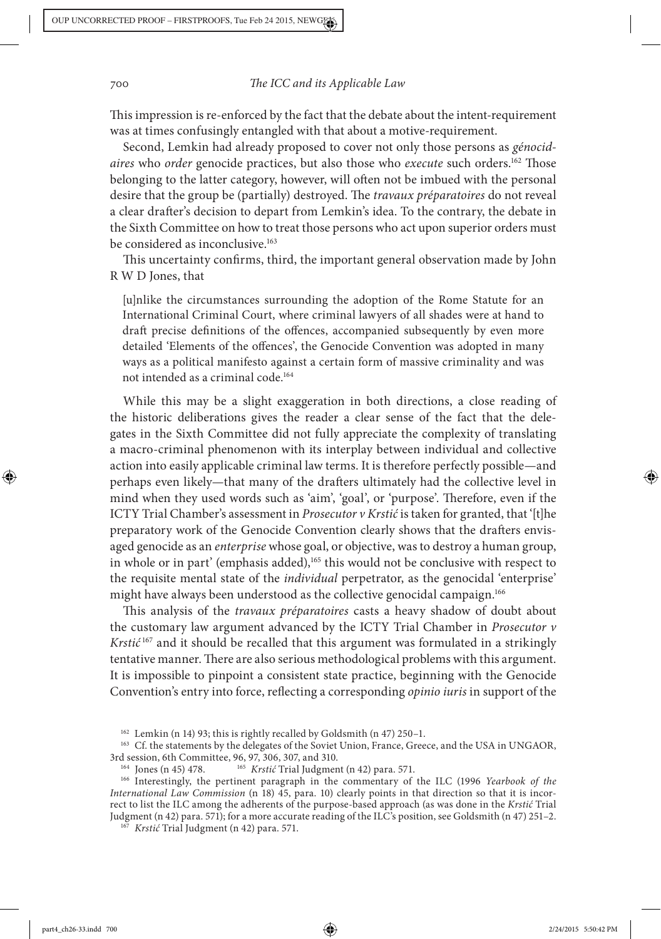This impression is re-enforced by the fact that the debate about the intent-requirement was at times confusingly entangled with that about a motive-requirement.

Second, Lemkin had already proposed to cover not only those persons as *génocidaires* who *order* genocide practices, but also those who *execute* such orders.162 Those belonging to the latter category, however, will often not be imbued with the personal desire that the group be (partially) destroyed. The *travaux préparatoires* do not reveal a clear drafter's decision to depart from Lemkin's idea. To the contrary, the debate in the Sixth Committee on how to treat those persons who act upon superior orders must be considered as inconclusive.<sup>163</sup>

This uncertainty confirms, third, the important general observation made by John R W D Jones, that

[u]nlike the circumstances surrounding the adoption of the Rome Statute for an International Criminal Court, where criminal lawyers of all shades were at hand to draft precise definitions of the offences, accompanied subsequently by even more detailed 'Elements of the offences', the Genocide Convention was adopted in many ways as a political manifesto against a certain form of massive criminality and was not intended as a criminal code.164

While this may be a slight exaggeration in both directions, a close reading of the historic deliberations gives the reader a clear sense of the fact that the delegates in the Sixth Committee did not fully appreciate the complexity of translating a macro-criminal phenomenon with its interplay between individual and collective action into easily applicable criminal law terms. It is therefore perfectly possible—and perhaps even likely—that many of the drafters ultimately had the collective level in mind when they used words such as 'aim', 'goal', or 'purpose'. Therefore, even if the ICTY Trial Chamber's assessment in *Prosecutor v Krstić* is taken for granted, that '[t]he preparatory work of the Genocide Convention clearly shows that the drafters envisaged genocide as an *enterprise* whose goal, or objective, was to destroy a human group, in whole or in part' (emphasis added), $165$  this would not be conclusive with respect to the requisite mental state of the *individual* perpetrator, as the genocidal 'enterprise' might have always been understood as the collective genocidal campaign.<sup>166</sup>

This analysis of the *travaux préparatoires* casts a heavy shadow of doubt about the customary law argument advanced by the ICTY Trial Chamber in *Prosecutor v Krstić*<sup>167</sup> and it should be recalled that this argument was formulated in a strikingly tentative manner. There are also serious methodological problems with this argument. It is impossible to pinpoint a consistent state practice, beginning with the Genocide Convention's entry into force, reflecting a corresponding *opinio iuris* in support of the

⊕

<sup>162</sup> Lemkin (n 14) 93; this is rightly recalled by Goldsmith (n 47) 250–1.

<sup>&</sup>lt;sup>163</sup> Cf. the statements by the delegates of the Soviet Union, France, Greece, and the USA in UNGAOR, 3rd session, 6th Committee, 96, 97, 306, 307, and 310.

<sup>&</sup>lt;sup>165</sup> *Krstić* Trial Judgment (n 42) para. 571.

<sup>166</sup> Interestingly, the pertinent paragraph in the commentary of the ILC (1996 *Yearbook of the International Law Commission* (n 18) 45, para. 10) clearly points in that direction so that it is incorrect to list the ILC among the adherents of the purpose-based approach (as was done in the *Krstić* Trial Judgment (n 42) para. 571); for a more accurate reading of the ILC's position, see Goldsmith (n 47) 251–2.

<sup>167</sup> *Krstić* Trial Judgment (n 42) para. 571.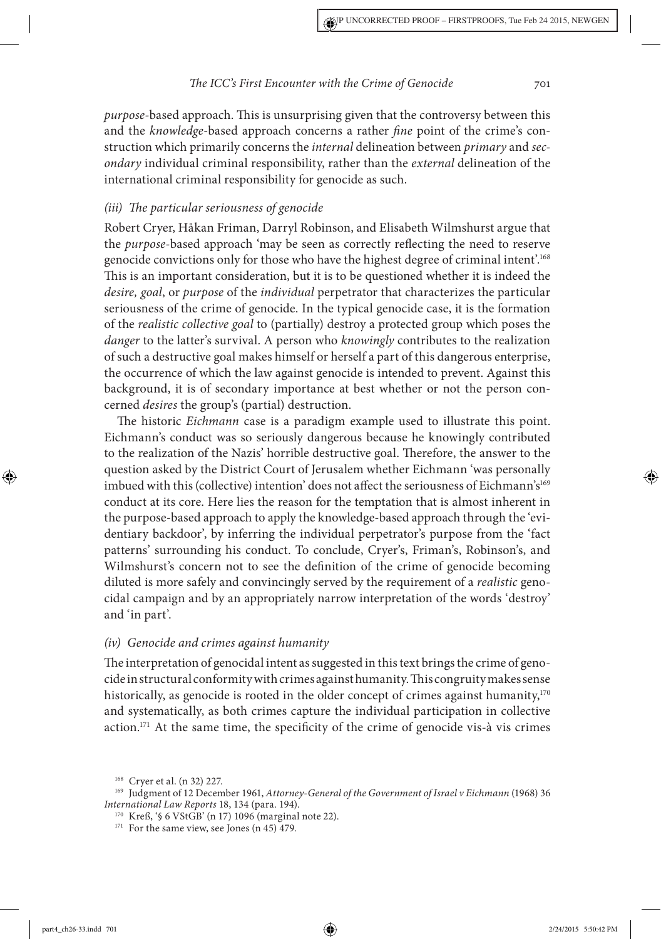*purpose*-based approach. This is unsurprising given that the controversy between this and the *knowledge*-based approach concerns a rather *fine* point of the crime's construction which primarily concerns the *internal* delineation between *primary* and *secondary* individual criminal responsibility, rather than the *external* delineation of the international criminal responsibility for genocide as such.

## *(iii) The particular seriousness of genocide*

Robert Cryer, Håkan Friman, Darryl Robinson, and Elisabeth Wilmshurst argue that the *purpose*-based approach 'may be seen as correctly reflecting the need to reserve genocide convictions only for those who have the highest degree of criminal intent'.168 This is an important consideration, but it is to be questioned whether it is indeed the *desire, goal*, or *purpose* of the *individual* perpetrator that characterizes the particular seriousness of the crime of genocide. In the typical genocide case, it is the formation of the *realistic collective goal* to (partially) destroy a protected group which poses the *danger* to the latter's survival. A person who *knowingly* contributes to the realization of such a destructive goal makes himself or herself a part of this dangerous enterprise, the occurrence of which the law against genocide is intended to prevent. Against this background, it is of secondary importance at best whether or not the person concerned *desires* the group's (partial) destruction.

The historic *Eichmann* case is a paradigm example used to illustrate this point. Eichmann's conduct was so seriously dangerous because he knowingly contributed to the realization of the Nazis' horrible destructive goal. Therefore, the answer to the question asked by the District Court of Jerusalem whether Eichmann 'was personally imbued with this (collective) intention' does not affect the seriousness of Eichmann's<sup>169</sup> conduct at its core. Here lies the reason for the temptation that is almost inherent in the purpose-based approach to apply the knowledge-based approach through the 'evidentiary backdoor', by inferring the individual perpetrator's purpose from the 'fact patterns' surrounding his conduct. To conclude, Cryer's, Friman's, Robinson's, and Wilmshurst's concern not to see the definition of the crime of genocide becoming diluted is more safely and convincingly served by the requirement of a *realistic* genocidal campaign and by an appropriately narrow interpretation of the words 'destroy' and 'in part'.

## *(iv) Genocide and crimes against humanity*

The interpretation of genocidal intent as suggested in this text brings the crime of genocide in structural conformity with crimes against humanity. This congruity makes sense historically, as genocide is rooted in the older concept of crimes against humanity,<sup>170</sup> and systematically, as both crimes capture the individual participation in collective action.171 At the same time, the specificity of the crime of genocide vis-à vis crimes

⊕

<sup>168</sup> Cryer et al. (n 32) 227.

<sup>169</sup> Judgment of 12 December 1961, *Attorney-General of the Government of Israel v Eichmann* (1968) 36 *International Law Reports* 18, 134 (para. 194).

<sup>170</sup> Kreß, '§ 6 VStGB' (n 17) 1096 (marginal note 22).

<sup>&</sup>lt;sup>171</sup> For the same view, see Jones (n 45) 479.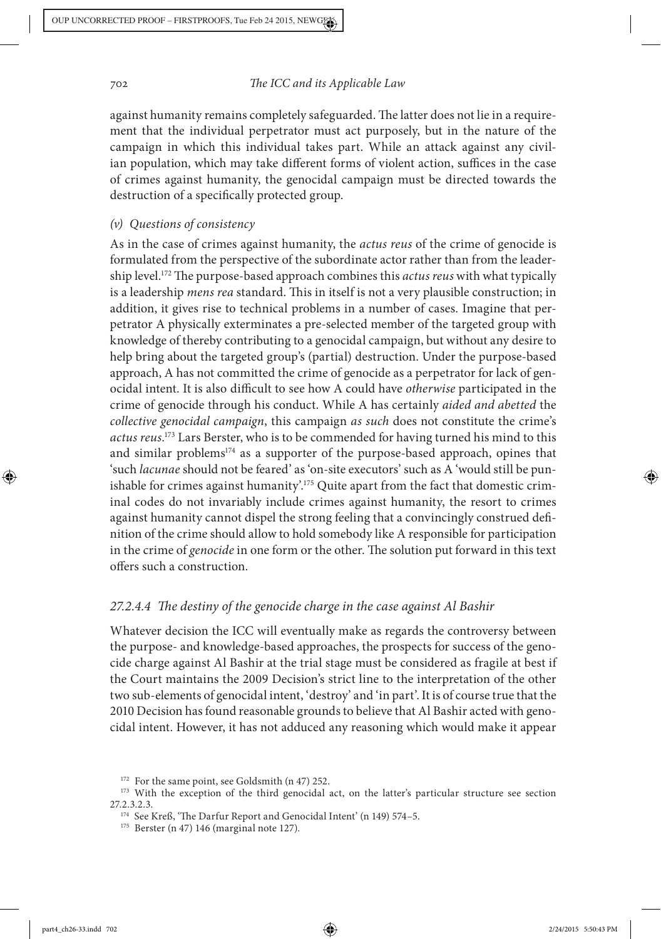against humanity remains completely safeguarded. The latter does not lie in a requirement that the individual perpetrator must act purposely, but in the nature of the campaign in which this individual takes part. While an attack against any civilian population, which may take different forms of violent action, suffices in the case of crimes against humanity, the genocidal campaign must be directed towards the destruction of a specifically protected group.

## *(v) Questions of consistency*

As in the case of crimes against humanity, the *actus reus* of the crime of genocide is formulated from the perspective of the subordinate actor rather than from the leadership level.172 The purpose-based approach combines this *actus reus* with what typically is a leadership *mens rea* standard. This in itself is not a very plausible construction; in addition, it gives rise to technical problems in a number of cases. Imagine that perpetrator A physically exterminates a pre-selected member of the targeted group with knowledge of thereby contributing to a genocidal campaign, but without any desire to help bring about the targeted group's (partial) destruction. Under the purpose-based approach, A has not committed the crime of genocide as a perpetrator for lack of genocidal intent. It is also difficult to see how A could have *otherwise* participated in the crime of genocide through his conduct. While A has certainly *aided and abetted* the *collective genocidal campaign*, this campaign *as such* does not constitute the crime's *actus reus*. 173 Lars Berster, who is to be commended for having turned his mind to this and similar problems $174$  as a supporter of the purpose-based approach, opines that 'such *lacunae* should not be feared' as 'on-site executors' such as A 'would still be punishable for crimes against humanity'.<sup>175</sup> Quite apart from the fact that domestic criminal codes do not invariably include crimes against humanity, the resort to crimes against humanity cannot dispel the strong feeling that a convincingly construed definition of the crime should allow to hold somebody like A responsible for participation in the crime of *genocide* in one form or the other. The solution put forward in this text offers such a construction.

## *27.2.4.4 The destiny of the genocide charge in the case against Al Bashir*

Whatever decision the ICC will eventually make as regards the controversy between the purpose- and knowledge-based approaches, the prospects for success of the genocide charge against Al Bashir at the trial stage must be considered as fragile at best if the Court maintains the 2009 Decision's strict line to the interpretation of the other two sub-elements of genocidal intent, 'destroy' and 'in part'. It is of course true that the 2010 Decision has found reasonable grounds to believe that Al Bashir acted with genocidal intent. However, it has not adduced any reasoning which would make it appear

⊕

<sup>&</sup>lt;sup>172</sup> For the same point, see Goldsmith (n 47) 252.

<sup>&</sup>lt;sup>173</sup> With the exception of the third genocidal act, on the latter's particular structure see section 27.2.3.2.3.

<sup>174</sup> See Kreß, 'The Darfur Report and Genocidal Intent' (n 149) 574–5.

<sup>175</sup> Berster (n 47) 146 (marginal note 127).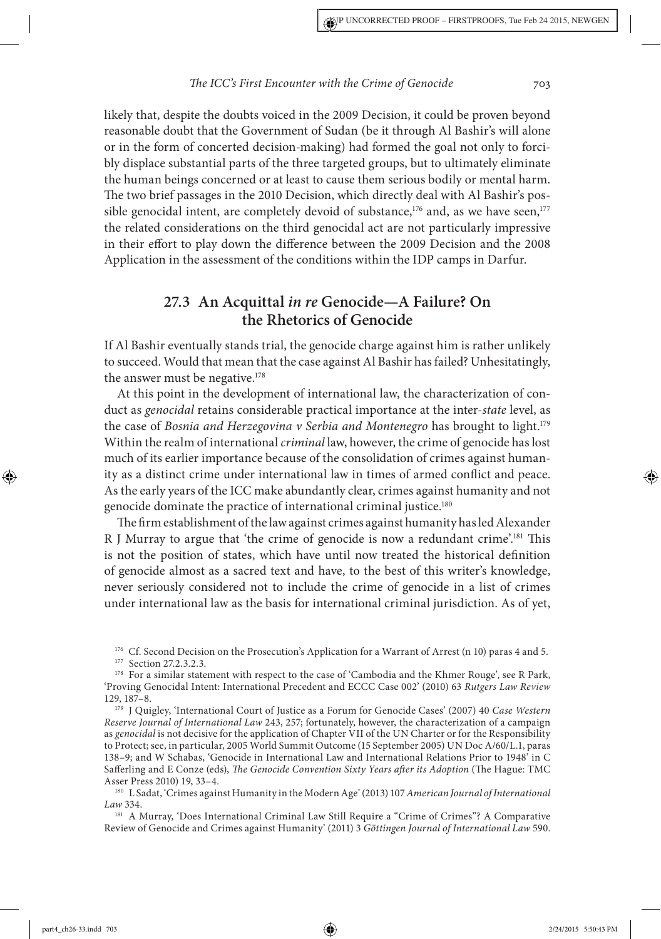likely that, despite the doubts voiced in the 2009 Decision, it could be proven beyond reasonable doubt that the Government of Sudan (be it through Al Bashir's will alone or in the form of concerted decision-making) had formed the goal not only to forcibly displace substantial parts of the three targeted groups, but to ultimately eliminate the human beings concerned or at least to cause them serious bodily or mental harm. The two brief passages in the 2010 Decision, which directly deal with Al Bashir's possible genocidal intent, are completely devoid of substance, $176$  and, as we have seen, $177$ the related considerations on the third genocidal act are not particularly impressive in their effort to play down the difference between the 2009 Decision and the 2008 Application in the assessment of the conditions within the IDP camps in Darfur.

## **27.3 An Acquittal** *in re* **Genocide—A Failure? On the Rhetorics of Genocide**

If Al Bashir eventually stands trial, the genocide charge against him is rather unlikely to succeed. Would that mean that the case against Al Bashir has failed? Unhesitatingly, the answer must be negative.<sup>178</sup>

At this point in the development of international law, the characterization of conduct as *genocidal* retains considerable practical importance at the inter-*state* level, as the case of *Bosnia and Herzegovina v Serbia and Montenegro* has brought to light.<sup>179</sup> Within the realm of international *criminal* law, however, the crime of genocide has lost much of its earlier importance because of the consolidation of crimes against humanity as a distinct crime under international law in times of armed conflict and peace. As the early years of the ICC make abundantly clear, crimes against humanity and not genocide dominate the practice of international criminal justice.180

The firm establishment of the law against crimes against humanity has led Alexander R J Murray to argue that 'the crime of genocide is now a redundant crime'.181 This is not the position of states, which have until now treated the historical definition of genocide almost as a sacred text and have, to the best of this writer's knowledge, never seriously considered not to include the crime of genocide in a list of crimes under international law as the basis for international criminal jurisdiction. As of yet,

⊕

<sup>&</sup>lt;sup>176</sup> Cf. Second Decision on the Prosecution's Application for a Warrant of Arrest (n 10) paras 4 and 5. 177 Section 27.2.3.2.3.

<sup>&</sup>lt;sup>178</sup> For a similar statement with respect to the case of 'Cambodia and the Khmer Rouge', see R Park, 'Proving Genocidal Intent: International Precedent and ECCC Case 002' (2010) 63 *Rutgers Law Review* 129, 187–8.

<sup>179</sup> J Quigley, 'International Court of Justice as a Forum for Genocide Cases' (2007) 40 *Case Western Reserve Journal of International Law* 243, 257; fortunately, however, the characterization of a campaign as *genocidal* is not decisive for the application of Chapter VII of the UN Charter or for the Responsibility to Protect; see, in particular, 2005 World Summit Outcome (15 September 2005) UN Doc A/60/L.1, paras 138–9; and W Schabas, 'Genocide in International Law and International Relations Prior to 1948' in C Safferling and E Conze (eds), *The Genocide Convention Sixty Years after its Adoption* (The Hague: TMC Asser Press 2010) 19, 33–4.

<sup>180</sup> L Sadat, 'Crimes against Humanity in the Modern Age' (2013) 107 *American Journal of International Law* 334.

<sup>181</sup> A Murray, 'Does International Criminal Law Still Require a "Crime of Crimes"? A Comparative Review of Genocide and Crimes against Humanity' (2011) 3 *Göttingen Journal of International Law* 590.